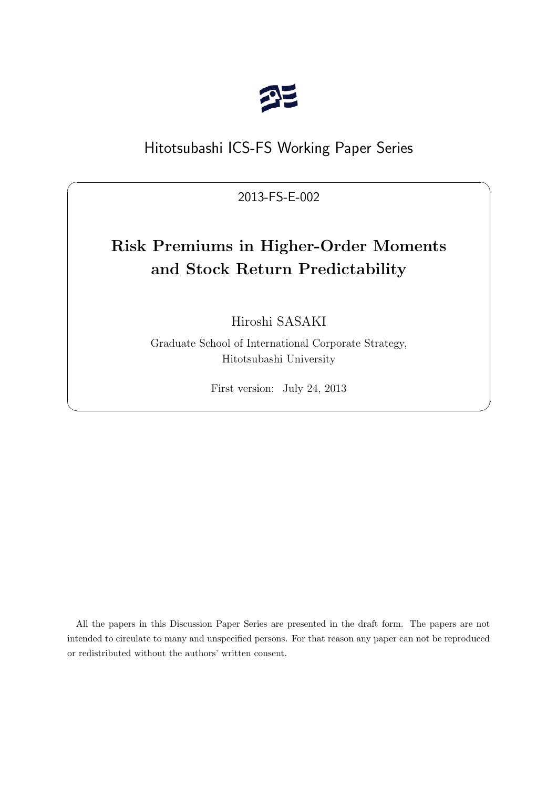

# Hitotsubashi ICS-FS Working Paper Series

2013-FS-E-002

 $\sqrt{2\pi}$ 

# **Risk Premiums in Higher-Order Moments and Stock Return Predictability**

Hiroshi SASAKI

Graduate School of International Corporate Strategy, Hitotsubashi University

First version: July 24, 2013

✒ ✑

All the papers in this Discussion Paper Series are presented in the draft form. The papers are not intended to circulate to many and unspecified persons. For that reason any paper can not be reproduced or redistributed without the authors' written consent.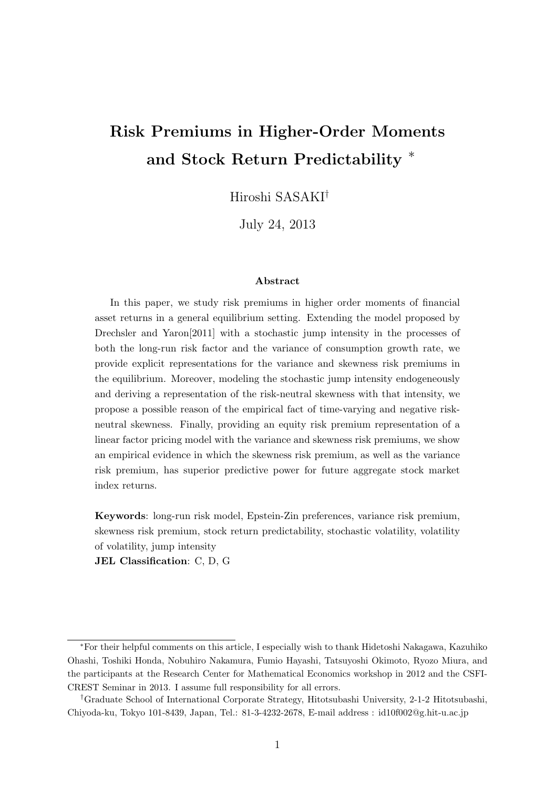# **Risk Premiums in Higher-Order Moments and Stock Return Predictability** *<sup>∗</sup>*

Hiroshi SASAKI*†*

July 24, 2013

#### **Abstract**

In this paper, we study risk premiums in higher order moments of financial asset returns in a general equilibrium setting. Extending the model proposed by Drechsler and Yaron[2011] with a stochastic jump intensity in the processes of both the long-run risk factor and the variance of consumption growth rate, we provide explicit representations for the variance and skewness risk premiums in the equilibrium. Moreover, modeling the stochastic jump intensity endogeneously and deriving a representation of the risk-neutral skewness with that intensity, we propose a possible reason of the empirical fact of time-varying and negative riskneutral skewness. Finally, providing an equity risk premium representation of a linear factor pricing model with the variance and skewness risk premiums, we show an empirical evidence in which the skewness risk premium, as well as the variance risk premium, has superior predictive power for future aggregate stock market index returns.

**Keywords**: long-run risk model, Epstein-Zin preferences, variance risk premium, skewness risk premium, stock return predictability, stochastic volatility, volatility of volatility, jump intensity

**JEL Classification**: C, D, G

*<sup>∗</sup>*For their helpful comments on this article, I especially wish to thank Hidetoshi Nakagawa, Kazuhiko Ohashi, Toshiki Honda, Nobuhiro Nakamura, Fumio Hayashi, Tatsuyoshi Okimoto, Ryozo Miura, and the participants at the Research Center for Mathematical Economics workshop in 2012 and the CSFI-CREST Seminar in 2013. I assume full responsibility for all errors.

*<sup>†</sup>*Graduate School of International Corporate Strategy, Hitotsubashi University, 2-1-2 Hitotsubashi, Chiyoda-ku, Tokyo 101-8439, Japan, Tel.: 81-3-4232-2678, E-mail address : id10f002@g.hit-u.ac.jp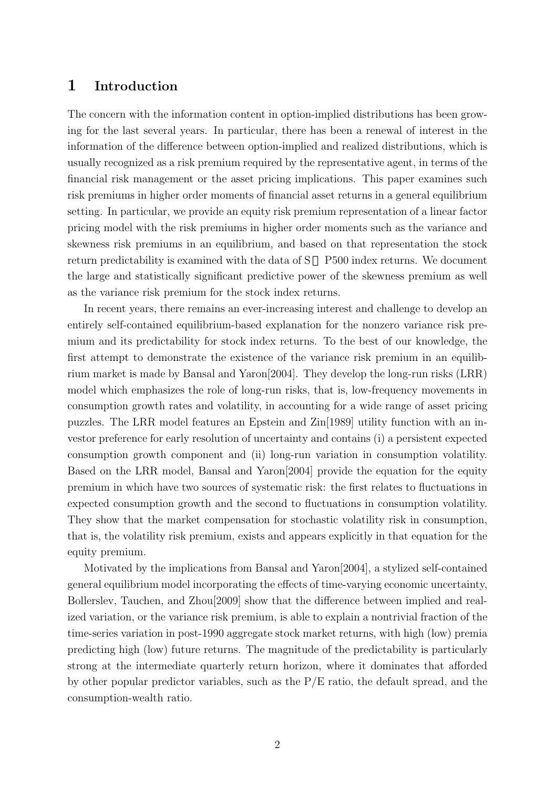## **1 Introduction**

The concern with the information content in option-implied distributions has been growing for the last several years. In particular, there has been a renewal of interest in the information of the difference between option-implied and realized distributions, which is usually recognized as a risk premium required by the representative agent, in terms of the financial risk management or the asset pricing implications. This paper examines such risk premiums in higher order moments of financial asset returns in a general equilibrium setting. In particular, we provide an equity risk premium representation of a linear factor pricing model with the risk premiums in higher order moments such as the variance and skewness risk premiums in an equilibrium, and based on that representation the stock return predictability is examined with the data of S P500 index returns. We document the large and statistically significant predictive power of the skewness premium as well as the variance risk premium for the stock index returns.

In recent years, there remains an ever-increasing interest and challenge to develop an entirely self-contained equilibrium-based explanation for the nonzero variance risk premium and its predictability for stock index returns. To the best of our knowledge, the first attempt to demonstrate the existence of the variance risk premium in an equilibrium market is made by Bansal and Yaron[2004]. They develop the long-run risks (LRR) model which emphasizes the role of long-run risks, that is, low-frequency movements in consumption growth rates and volatility, in accounting for a wide range of asset pricing puzzles. The LRR model features an Epstein and Zin[1989] utility function with an investor preference for early resolution of uncertainty and contains (i) a persistent expected consumption growth component and (ii) long-run variation in consumption volatility. Based on the LRR model, Bansal and Yaron[2004] provide the equation for the equity premium in which have two sources of systematic risk: the first relates to fluctuations in expected consumption growth and the second to fluctuations in consumption volatility. They show that the market compensation for stochastic volatility risk in consumption, that is, the volatility risk premium, exists and appears explicitly in that equation for the equity premium.

Motivated by the implications from Bansal and Yaron[2004], a stylized self-contained general equilibrium model incorporating the effects of time-varying economic uncertainty, Bollerslev, Tauchen, and Zhou[2009] show that the difference between implied and realized variation, or the variance risk premium, is able to explain a nontrivial fraction of the time-series variation in post-1990 aggregate stock market returns, with high (low) premia predicting high (low) future returns. The magnitude of the predictability is particularly strong at the intermediate quarterly return horizon, where it dominates that afforded by other popular predictor variables, such as the  $P/E$  ratio, the default spread, and the consumption-wealth ratio.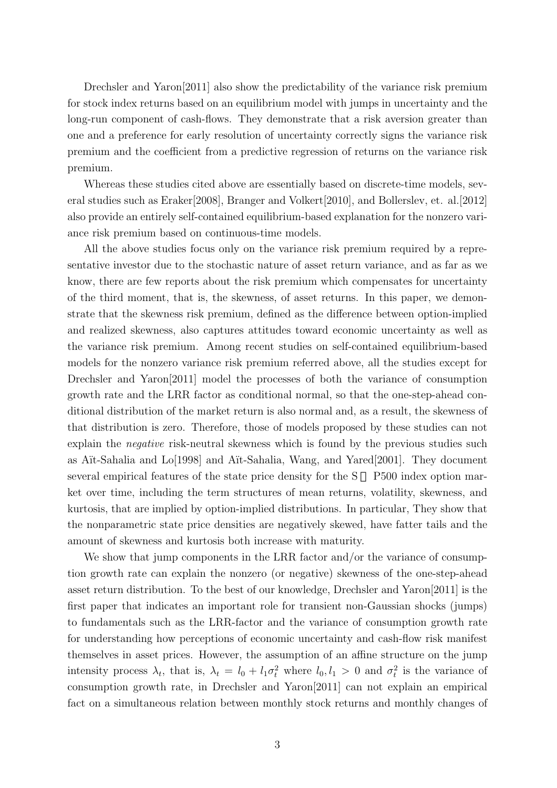Drechsler and Yaron[2011] also show the predictability of the variance risk premium for stock index returns based on an equilibrium model with jumps in uncertainty and the long-run component of cash-flows. They demonstrate that a risk aversion greater than one and a preference for early resolution of uncertainty correctly signs the variance risk premium and the coefficient from a predictive regression of returns on the variance risk premium.

Whereas these studies cited above are essentially based on discrete-time models, several studies such as Eraker[2008], Branger and Volkert[2010], and Bollerslev, et. al.[2012] also provide an entirely self-contained equilibrium-based explanation for the nonzero variance risk premium based on continuous-time models.

All the above studies focus only on the variance risk premium required by a representative investor due to the stochastic nature of asset return variance, and as far as we know, there are few reports about the risk premium which compensates for uncertainty of the third moment, that is, the skewness, of asset returns. In this paper, we demonstrate that the skewness risk premium, defined as the difference between option-implied and realized skewness, also captures attitudes toward economic uncertainty as well as the variance risk premium. Among recent studies on self-contained equilibrium-based models for the nonzero variance risk premium referred above, all the studies except for Drechsler and Yaron[2011] model the processes of both the variance of consumption growth rate and the LRR factor as conditional normal, so that the one-step-ahead conditional distribution of the market return is also normal and, as a result, the skewness of that distribution is zero. Therefore, those of models proposed by these studies can not explain the *negative* risk-neutral skewness which is found by the previous studies such as A¨ıt-Sahalia and Lo[1998] and A¨ıt-Sahalia, Wang, and Yared[2001]. They document several empirical features of the state price density for the S P500 index option market over time, including the term structures of mean returns, volatility, skewness, and kurtosis, that are implied by option-implied distributions. In particular, They show that the nonparametric state price densities are negatively skewed, have fatter tails and the amount of skewness and kurtosis both increase with maturity.

We show that jump components in the LRR factor and/or the variance of consumption growth rate can explain the nonzero (or negative) skewness of the one-step-ahead asset return distribution. To the best of our knowledge, Drechsler and Yaron[2011] is the first paper that indicates an important role for transient non-Gaussian shocks (jumps) to fundamentals such as the LRR-factor and the variance of consumption growth rate for understanding how perceptions of economic uncertainty and cash-flow risk manifest themselves in asset prices. However, the assumption of an affine structure on the jump intensity process  $\lambda_t$ , that is,  $\lambda_t = l_0 + l_1 \sigma_t^2$  where  $l_0, l_1 > 0$  and  $\sigma_t^2$  is the variance of consumption growth rate, in Drechsler and Yaron[2011] can not explain an empirical fact on a simultaneous relation between monthly stock returns and monthly changes of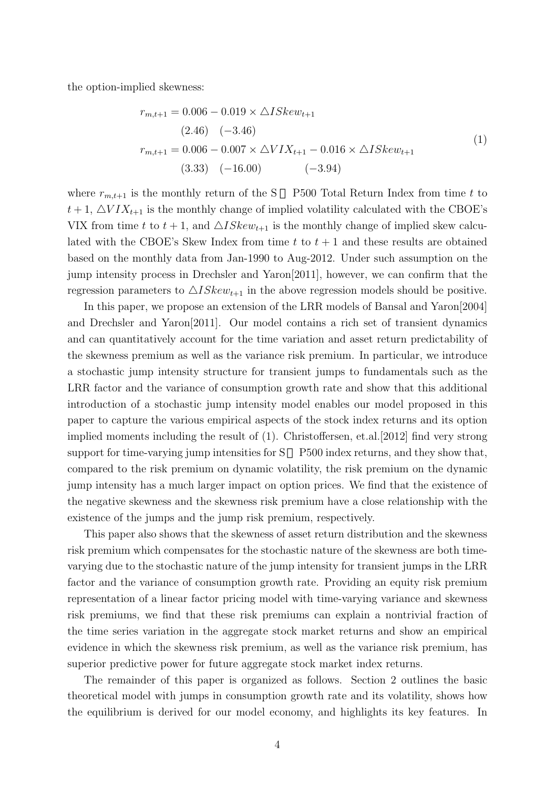the option-implied skewness:

$$
r_{m,t+1} = 0.006 - 0.019 \times \Delta ISkew_{t+1}
$$
  
\n(2.46) (-3.46)  
\n
$$
r_{m,t+1} = 0.006 - 0.007 \times \Delta VIX_{t+1} - 0.016 \times \Delta ISkew_{t+1}
$$
  
\n(3.33) (-16.00) (-3.94)

where  $r_{m,t+1}$  is the monthly return of the S P500 Total Return Index from time t to  $t+1$ ,  $\Delta VIX_{t+1}$  is the monthly change of implied volatility calculated with the CBOE's VIX from time t to  $t + 1$ , and  $\triangle ISkew_{t+1}$  is the monthly change of implied skew calculated with the CBOE's Skew Index from time  $t$  to  $t + 1$  and these results are obtained based on the monthly data from Jan-1990 to Aug-2012. Under such assumption on the jump intensity process in Drechsler and Yaron[2011], however, we can confirm that the regression parameters to  $\triangle ISkew_{t+1}$  in the above regression models should be positive.

In this paper, we propose an extension of the LRR models of Bansal and Yaron[2004] and Drechsler and Yaron[2011]. Our model contains a rich set of transient dynamics and can quantitatively account for the time variation and asset return predictability of the skewness premium as well as the variance risk premium. In particular, we introduce a stochastic jump intensity structure for transient jumps to fundamentals such as the LRR factor and the variance of consumption growth rate and show that this additional introduction of a stochastic jump intensity model enables our model proposed in this paper to capture the various empirical aspects of the stock index returns and its option implied moments including the result of (1). Christoffersen, et.al.[2012] find very strong support for time-varying jump intensities for S P500 index returns, and they show that, compared to the risk premium on dynamic volatility, the risk premium on the dynamic jump intensity has a much larger impact on option prices. We find that the existence of the negative skewness and the skewness risk premium have a close relationship with the existence of the jumps and the jump risk premium, respectively.

This paper also shows that the skewness of asset return distribution and the skewness risk premium which compensates for the stochastic nature of the skewness are both timevarying due to the stochastic nature of the jump intensity for transient jumps in the LRR factor and the variance of consumption growth rate. Providing an equity risk premium representation of a linear factor pricing model with time-varying variance and skewness risk premiums, we find that these risk premiums can explain a nontrivial fraction of the time series variation in the aggregate stock market returns and show an empirical evidence in which the skewness risk premium, as well as the variance risk premium, has superior predictive power for future aggregate stock market index returns.

The remainder of this paper is organized as follows. Section 2 outlines the basic theoretical model with jumps in consumption growth rate and its volatility, shows how the equilibrium is derived for our model economy, and highlights its key features. In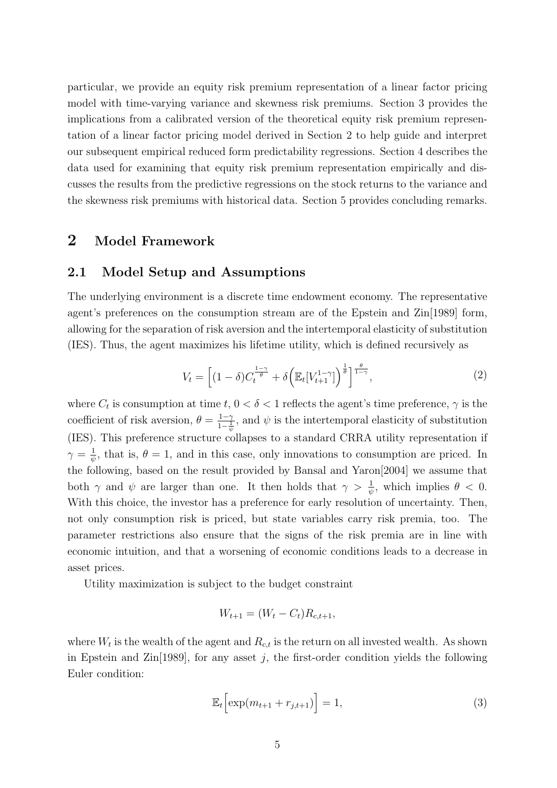particular, we provide an equity risk premium representation of a linear factor pricing model with time-varying variance and skewness risk premiums. Section 3 provides the implications from a calibrated version of the theoretical equity risk premium representation of a linear factor pricing model derived in Section 2 to help guide and interpret our subsequent empirical reduced form predictability regressions. Section 4 describes the data used for examining that equity risk premium representation empirically and discusses the results from the predictive regressions on the stock returns to the variance and the skewness risk premiums with historical data. Section 5 provides concluding remarks.

# **2 Model Framework**

### **2.1 Model Setup and Assumptions**

The underlying environment is a discrete time endowment economy. The representative agent's preferences on the consumption stream are of the Epstein and Zin[1989] form, allowing for the separation of risk aversion and the intertemporal elasticity of substitution (IES). Thus, the agent maximizes his lifetime utility, which is defined recursively as

$$
V_t = \left[ (1 - \delta) C_t^{\frac{1 - \gamma}{\theta}} + \delta \left( \mathbb{E}_t[V_{t+1}^{1 - \gamma}] \right)^{\frac{1}{\theta}} \right]^{\frac{\theta}{1 - \gamma}},\tag{2}
$$

where  $C_t$  is consumption at time  $t, 0 < \delta < 1$  reflects the agent's time preference,  $\gamma$  is the coefficient of risk aversion,  $\theta = \frac{1-\gamma}{1-\gamma}$  $\frac{1-\gamma}{1-\frac{1}{\psi}}$ , and  $\psi$  is the intertemporal elasticity of substitution (IES). This preference structure collapses to a standard CRRA utility representation if  $\gamma = \frac{1}{\gamma}$  $\frac{1}{\psi}$ , that is,  $\theta = 1$ , and in this case, only innovations to consumption are priced. In the following, based on the result provided by Bansal and Yaron[2004] we assume that both  $\gamma$  and  $\psi$  are larger than one. It then holds that  $\gamma > \frac{1}{\psi}$ , which implies  $\theta < 0$ . With this choice, the investor has a preference for early resolution of uncertainty. Then, not only consumption risk is priced, but state variables carry risk premia, too. The parameter restrictions also ensure that the signs of the risk premia are in line with economic intuition, and that a worsening of economic conditions leads to a decrease in asset prices.

Utility maximization is subject to the budget constraint

$$
W_{t+1} = (W_t - C_t)R_{c,t+1},
$$

where  $W_t$  is the wealth of the agent and  $R_{c,t}$  is the return on all invested wealth. As shown in Epstein and Zin<sup>[1989]</sup>, for any asset  $j$ , the first-order condition yields the following Euler condition:

$$
\mathbb{E}_t \left[ \exp(m_{t+1} + r_{j,t+1}) \right] = 1,\tag{3}
$$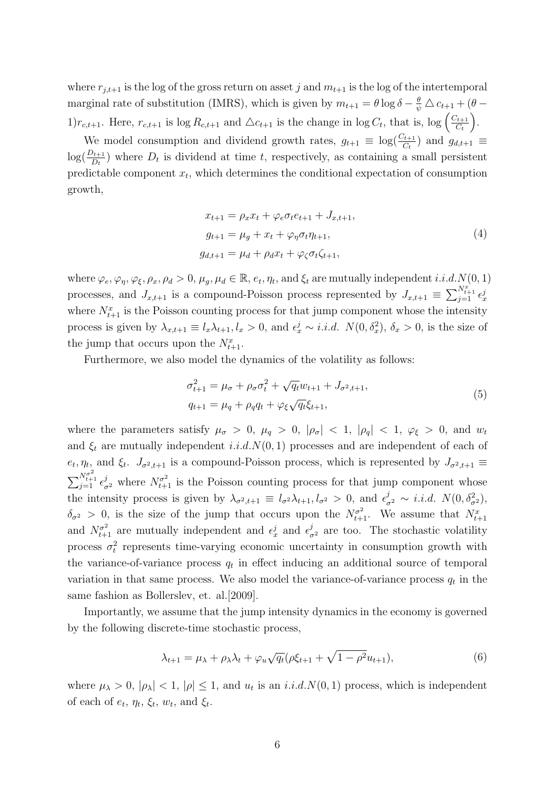where  $r_{i,t+1}$  is the log of the gross return on asset *j* and  $m_{t+1}$  is the log of the intertemporal marginal rate of substitution (IMRS), which is given by  $m_{t+1} = \theta \log \delta - \frac{\theta}{\psi} \triangle c_{t+1} + (\theta - \frac{\theta}{\psi})$  $1)r_{c,t+1}$ . Here,  $r_{c,t+1}$  is log  $R_{c,t+1}$  and  $\Delta c_{t+1}$  is the change in log  $C_t$ , that is, log  $\left(\frac{C_{t+1}}{C_t}\right)$  $\left(\frac{C_t}{C_t}\right)$ .

We model consumption and dividend growth rates,  $g_{t+1} \equiv \log(\frac{C_{t+1}}{C_t})$  and  $g_{d,t+1} \equiv$  $log(\frac{D_{t+1}}{D_t})$  where  $D_t$  is dividend at time *t*, respectively, as containing a small persistent predictable component *x<sup>t</sup>* , which determines the conditional expectation of consumption growth,

$$
x_{t+1} = \rho_x x_t + \varphi_e \sigma_t e_{t+1} + J_{x,t+1},
$$
  
\n
$$
g_{t+1} = \mu_g + x_t + \varphi_\eta \sigma_t \eta_{t+1},
$$
  
\n
$$
g_{d,t+1} = \mu_d + \rho_d x_t + \varphi_\zeta \sigma_t \zeta_{t+1},
$$
\n(4)

where  $\varphi_e, \varphi_\eta, \varphi_\xi, \rho_x, \rho_d > 0$ ,  $\mu_g, \mu_d \in \mathbb{R}$ ,  $e_t, \eta_t$ , and  $\xi_t$  are mutually independent *i.i.d.*  $N(0, 1)$ processes, and  $J_{x,t+1}$  is a compound-Poisson process represented by  $J_{x,t+1} \equiv \sum_{j=1}^{N_{t+1}^x} \epsilon_x^j$ where  $N_{t+1}^x$  is the Poisson counting process for that jump component whose the intensity process is given by  $\lambda_{x,t+1} \equiv l_x \lambda_{t+1}, l_x > 0$ , and  $\epsilon_x^j \sim i.i.d.$   $N(0, \delta_x^2), \delta_x > 0$ , is the size of the jump that occurs upon the  $N_{t+1}^x$ .

Furthermore, we also model the dynamics of the volatility as follows:

$$
\sigma_{t+1}^2 = \mu_{\sigma} + \rho_{\sigma}\sigma_t^2 + \sqrt{q_t}w_{t+1} + J_{\sigma^2, t+1},
$$
  
\n
$$
q_{t+1} = \mu_q + \rho_q q_t + \varphi_\xi \sqrt{q_t} \xi_{t+1},
$$
\n(5)

where the parameters satisfy  $\mu_{\sigma} > 0$ ,  $\mu_{q} > 0$ ,  $|\rho_{\sigma}| < 1$ ,  $|\rho_{q}| < 1$ ,  $\varphi_{\xi} > 0$ , and  $w_t$ and  $\xi_t$  are mutually independent *i.i.d.N*(0,1) processes and are independent of each of  $e_t, \eta_t$ , and  $\xi_t$ .  $J_{\sigma^2,t+1}$  is a compound-Poisson process, which is represented by  $J_{\sigma^2,t+1}$  $\sum_{j=1}^{N_{t+1}^{\sigma^2}} \epsilon_{\sigma^2}^j$  where  $N_{t+1}^{\sigma^2}$  is the Poisson counting process for that jump component whose the intensity process is given by  $\lambda_{\sigma^2,t+1} \equiv l_{\sigma^2} \lambda_{t+1}, l_{\sigma^2} > 0$ , and  $\epsilon_{\sigma^2}^j \sim i.i.d. N(0, \delta_{\sigma^2}^2)$ ,  $\delta_{\sigma^2} > 0$ , is the size of the jump that occurs upon the  $N^{\sigma^2}_{t+1}$ . We assume that  $N^x_{t+1}$ and  $N_{t+1}^{\sigma^2}$  are mutually independent and  $\epsilon_x^j$  and  $\epsilon_{\sigma^2}^j$  are too. The stochastic volatility process  $\sigma_t^2$  represents time-varying economic uncertainty in consumption growth with the variance-of-variance process  $q_t$  in effect inducing an additional source of temporal variation in that same process. We also model the variance-of-variance process  $q_t$  in the same fashion as Bollerslev, et. al.[2009].

Importantly, we assume that the jump intensity dynamics in the economy is governed by the following discrete-time stochastic process,

$$
\lambda_{t+1} = \mu_{\lambda} + \rho_{\lambda}\lambda_t + \varphi_u\sqrt{q_t}(\rho\xi_{t+1} + \sqrt{1-\rho^2}u_{t+1}),
$$
\n(6)

where  $\mu_{\lambda} > 0$ ,  $|\rho_{\lambda}| < 1$ ,  $|\rho| \leq 1$ , and  $u_t$  is an *i.i.d.N*(0,1) process, which is independent of each of  $e_t$ ,  $\eta_t$ ,  $\xi_t$ ,  $w_t$ , and  $\xi_t$ .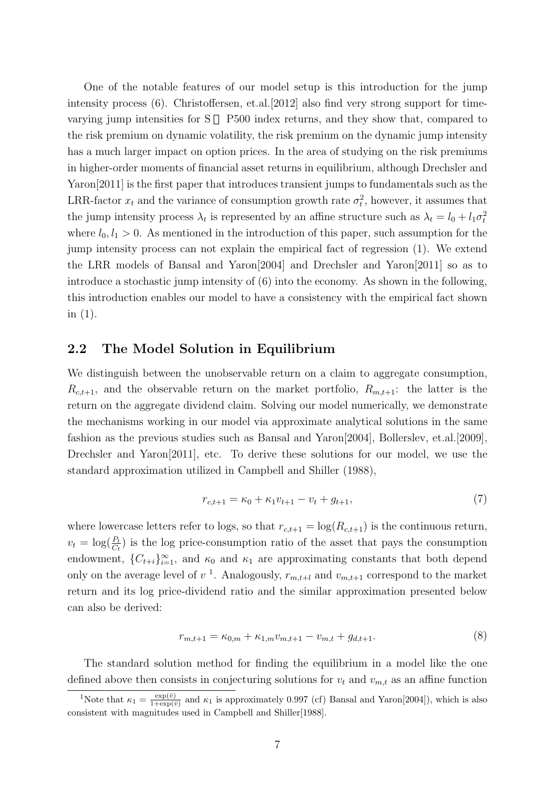One of the notable features of our model setup is this introduction for the jump intensity process (6). Christoffersen, et.al.[2012] also find very strong support for timevarying jump intensities for S P500 index returns, and they show that, compared to the risk premium on dynamic volatility, the risk premium on the dynamic jump intensity has a much larger impact on option prices. In the area of studying on the risk premiums in higher-order moments of financial asset returns in equilibrium, although Drechsler and Yaron[2011] is the first paper that introduces transient jumps to fundamentals such as the LRR-factor  $x_t$  and the variance of consumption growth rate  $\sigma_t^2$ , however, it assumes that the jump intensity process  $\lambda_t$  is represented by an affine structure such as  $\lambda_t = l_0 + l_1 \sigma_t^2$ where  $l_0, l_1 > 0$ . As mentioned in the introduction of this paper, such assumption for the jump intensity process can not explain the empirical fact of regression (1). We extend the LRR models of Bansal and Yaron[2004] and Drechsler and Yaron[2011] so as to introduce a stochastic jump intensity of (6) into the economy. As shown in the following, this introduction enables our model to have a consistency with the empirical fact shown in (1).

### **2.2 The Model Solution in Equilibrium**

We distinguish between the unobservable return on a claim to aggregate consumption,  $R_{c,t+1}$ , and the observable return on the market portfolio,  $R_{m,t+1}$ : the latter is the return on the aggregate dividend claim. Solving our model numerically, we demonstrate the mechanisms working in our model via approximate analytical solutions in the same fashion as the previous studies such as Bansal and Yaron[2004], Bollerslev, et.al.[2009], Drechsler and Yaron<sup>[2011]</sup>, etc. To derive these solutions for our model, we use the standard approximation utilized in Campbell and Shiller (1988),

$$
r_{c,t+1} = \kappa_0 + \kappa_1 v_{t+1} - v_t + g_{t+1},\tag{7}
$$

where lowercase letters refer to logs, so that  $r_{c,t+1} = \log(R_{c,t+1})$  is the continuous return,  $v_t = \log(\frac{P_t}{C_t})$  is the log price-consumption ratio of the asset that pays the consumption endowment,  ${C_{t+i}}_{i=1}^{\infty}$ , and  $\kappa_0$  and  $\kappa_1$  are approximating constants that both depend only on the average level of  $v<sup>1</sup>$ . Analogously,  $r_{m,t+l}$  and  $v_{m,t+1}$  correspond to the market return and its log price-dividend ratio and the similar approximation presented below can also be derived:

$$
r_{m,t+1} = \kappa_{0,m} + \kappa_{1,m} v_{m,t+1} - v_{m,t} + g_{d,t+1}.
$$
\n(8)

The standard solution method for finding the equilibrium in a model like the one defined above then consists in conjecturing solutions for  $v_t$  and  $v_{m,t}$  as an affine function

<sup>&</sup>lt;sup>1</sup>Note that  $\kappa_1 = \frac{\exp(\bar{v})}{1+\exp(\bar{v})}$  $\frac{\exp(v)}{1+\exp(\bar{v})}$  and  $\kappa_1$  is approximately 0.997 (cf) Bansal and Yaron[2004]), which is also consistent with magnitudes used in Campbell and Shiller[1988].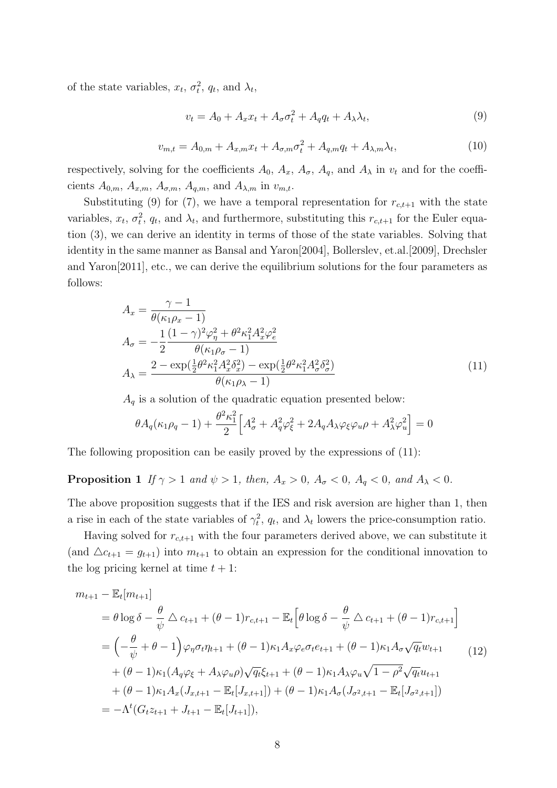of the state variables,  $x_t$ ,  $\sigma_t^2$ ,  $q_t$ , and  $\lambda_t$ ,

$$
v_t = A_0 + A_x x_t + A_\sigma \sigma_t^2 + A_q q_t + A_\lambda \lambda_t,\tag{9}
$$

$$
v_{m,t} = A_{0,m} + A_{x,m}x_t + A_{\sigma,m}\sigma_t^2 + A_{q,m}q_t + A_{\lambda,m}\lambda_t,
$$
\n(10)

respectively, solving for the coefficients  $A_0$ ,  $A_x$ ,  $A_\sigma$ ,  $A_q$ , and  $A_\lambda$  in  $v_t$  and for the coefficients  $A_{0,m}$ ,  $A_{x,m}$ ,  $A_{\sigma,m}$ ,  $A_{q,m}$ , and  $A_{\lambda,m}$  in  $v_{m,t}$ .

Substituting (9) for (7), we have a temporal representation for  $r_{c,t+1}$  with the state variables,  $x_t$ ,  $\sigma_t^2$ ,  $q_t$ , and  $\lambda_t$ , and furthermore, substituting this  $r_{c,t+1}$  for the Euler equation (3), we can derive an identity in terms of those of the state variables. Solving that identity in the same manner as Bansal and Yaron[2004], Bollerslev, et.al.[2009], Drechsler and Yaron[2011], etc., we can derive the equilibrium solutions for the four parameters as follows:

$$
A_x = \frac{\gamma - 1}{\theta(\kappa_1 \rho_x - 1)}
$$
  
\n
$$
A_{\sigma} = -\frac{1}{2} \frac{(1 - \gamma)^2 \varphi_{\eta}^2 + \theta^2 \kappa_1^2 A_x^2 \varphi_e^2}{\theta(\kappa_1 \rho_{\sigma} - 1)}
$$
  
\n
$$
A_{\lambda} = \frac{2 - \exp(\frac{1}{2}\theta^2 \kappa_1^2 A_x^2 \delta_x^2) - \exp(\frac{1}{2}\theta^2 \kappa_1^2 A_{\sigma}^2 \delta_{\sigma}^2)}{\theta(\kappa_1 \rho_{\lambda} - 1)}
$$
\n(11)

 $A_q$  is a solution of the quadratic equation presented below:

$$
\theta A_q(\kappa_1 \rho_q - 1) + \frac{\theta^2 \kappa_1^2}{2} \Big[ A_\sigma^2 + A_q^2 \varphi_\xi^2 + 2A_q A_\lambda \varphi_\xi \varphi_u \rho + A_\lambda^2 \varphi_u^2 \Big] = 0
$$

The following proposition can be easily proved by the expressions of (11):

## **Proposition 1** If  $\gamma > 1$  and  $\psi > 1$ , then,  $A_x > 0$ ,  $A_{\sigma} < 0$ ,  $A_q < 0$ , and  $A_{\lambda} < 0$ .

The above proposition suggests that if the IES and risk aversion are higher than 1, then a rise in each of the state variables of  $\gamma_t^2$ ,  $q_t$ , and  $\lambda_t$  lowers the price-consumption ratio.

Having solved for  $r_{c,t+1}$  with the four parameters derived above, we can substitute it (and  $\Delta c_{t+1} = g_{t+1}$ ) into  $m_{t+1}$  to obtain an expression for the conditional innovation to the log pricing kernel at time  $t + 1$ :

$$
m_{t+1} - \mathbb{E}_{t}[m_{t+1}]
$$
  
=  $\theta \log \delta - \frac{\theta}{\psi} \Delta c_{t+1} + (\theta - 1)r_{c,t+1} - \mathbb{E}_{t} \Big[ \theta \log \delta - \frac{\theta}{\psi} \Delta c_{t+1} + (\theta - 1)r_{c,t+1} \Big]$   
=  $\Big( -\frac{\theta}{\psi} + \theta - 1 \Big) \varphi_{\eta} \sigma_{t} \eta_{t+1} + (\theta - 1)\kappa_{1} A_{x} \varphi_{e} \sigma_{t} e_{t+1} + (\theta - 1)\kappa_{1} A_{\sigma} \sqrt{q_{t}} w_{t+1} + (\theta - 1)\kappa_{1} (A_{q} \varphi_{\xi} + A_{\lambda} \varphi_{u} \rho) \sqrt{q_{t}} \xi_{t+1} + (\theta - 1)\kappa_{1} A_{\lambda} \varphi_{u} \sqrt{1 - \rho^{2}} \sqrt{q_{t}} u_{t+1} + (\theta - 1)\kappa_{1} A_{x} (J_{x,t+1} - \mathbb{E}_{t} [J_{x,t+1}]) + (\theta - 1)\kappa_{1} A_{\sigma} (J_{\sigma^{2},t+1} - \mathbb{E}_{t} [J_{\sigma^{2},t+1}])$   
=  $-\Lambda^{t} (G_{t} z_{t+1} + J_{t+1} - \mathbb{E}_{t} [J_{t+1}]),$  (12)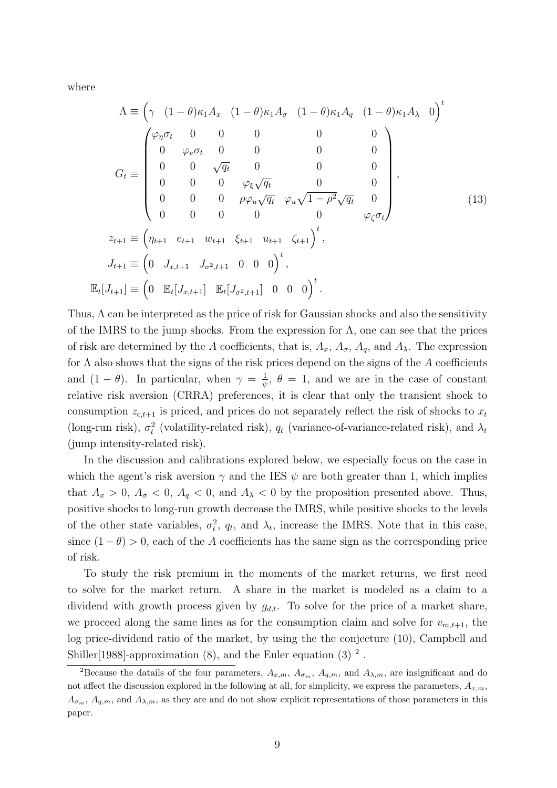where

$$
\Lambda = \left(\gamma \quad (1 - \theta)\kappa_1 A_x \quad (1 - \theta)\kappa_1 A_\sigma \quad (1 - \theta)\kappa_1 A_q \quad (1 - \theta)\kappa_1 A_\lambda \quad 0\right)^t
$$

$$
G_t \equiv \begin{pmatrix} \varphi_\eta \sigma_t & 0 & 0 & 0 & 0 & 0 \\ 0 & \varphi_e \sigma_t & 0 & 0 & 0 & 0 \\ 0 & 0 & \sqrt{q_t} & 0 & 0 & 0 & 0 \\ 0 & 0 & 0 & \varphi_\xi \sqrt{q_t} & 0 & 0 & 0 \\ 0 & 0 & 0 & \varphi_\xi \sqrt{q_t} & \varphi_u \sqrt{1 - \rho^2} \sqrt{q_t} & 0 \\ 0 & 0 & 0 & 0 & 0 & \varphi_\zeta \sigma_t \end{pmatrix},
$$

$$
z_{t+1} \equiv \left(\eta_{t+1} \quad e_{t+1} \quad w_{t+1} \quad \xi_{t+1} \quad u_{t+1} \quad \zeta_{t+1}\right)^t,
$$

$$
J_{t+1} \equiv \left(0 \quad J_{x,t+1} \quad J_{\sigma^2,t+1} \quad 0 \quad 0 \quad 0\right)^t,
$$

$$
\mathbb{E}_t[J_{t+1}] \equiv \left(0 \quad \mathbb{E}_t[J_{x,t+1}] \quad \mathbb{E}_t[J_{\sigma^2,t+1}] \quad 0 \quad 0 \quad 0\right)^t.
$$

Thus, Λ can be interpreted as the price of risk for Gaussian shocks and also the sensitivity of the IMRS to the jump shocks. From the expression for  $\Lambda$ , one can see that the prices of risk are determined by the *A* coefficients, that is,  $A_x$ ,  $A_\sigma$ ,  $A_q$ , and  $A_\lambda$ . The expression for Λ also shows that the signs of the risk prices depend on the signs of the *A* coefficients and  $(1 - \theta)$ . In particular, when  $\gamma = \frac{1}{\psi}$  $\frac{1}{\psi}$ ,  $\theta = 1$ , and we are in the case of constant relative risk aversion (CRRA) preferences, it is clear that only the transient shock to consumption  $z_{c,t+1}$  is priced, and prices do not separately reflect the risk of shocks to  $x_t$ (long-run risk),  $\sigma_t^2$  (volatility-related risk),  $q_t$  (variance-of-variance-related risk), and  $\lambda_t$ (jump intensity-related risk).

In the discussion and calibrations explored below, we especially focus on the case in which the agent's risk aversion  $\gamma$  and the IES  $\psi$  are both greater than 1, which implies that  $A_x > 0$ ,  $A_\sigma < 0$ ,  $A_q < 0$ , and  $A_\lambda < 0$  by the proposition presented above. Thus, positive shocks to long-run growth decrease the IMRS, while positive shocks to the levels of the other state variables,  $\sigma_t^2$ ,  $q_t$ , and  $\lambda_t$ , increase the IMRS. Note that in this case, since  $(1 - \theta) > 0$ , each of the *A* coefficients has the same sign as the corresponding price of risk.

To study the risk premium in the moments of the market returns, we first need to solve for the market return. A share in the market is modeled as a claim to a dividend with growth process given by  $g_{d,t}$ . To solve for the price of a market share, we proceed along the same lines as for the consumption claim and solve for  $v_{m,t+1}$ , the log price-dividend ratio of the market, by using the the conjecture (10), Campbell and Shiller<sup>[1988]</sup>-approximation  $(8)$ , and the Euler equation  $(3)$ <sup>2</sup>.

<sup>&</sup>lt;sup>2</sup>Because the datails of the four parameters,  $A_{x,m}$ ,  $A_{\sigma_m}$ ,  $A_{a,m}$ , and  $A_{\lambda,m}$ , are insignificant and do not affect the discussion explored in the following at all, for simplicity, we express the parameters,  $A_{x,m}$ ,  $A_{\sigma_m}$ ,  $A_{q,m}$ , and  $A_{\lambda,m}$ , as they are and do not show explicit representations of those parameters in this paper.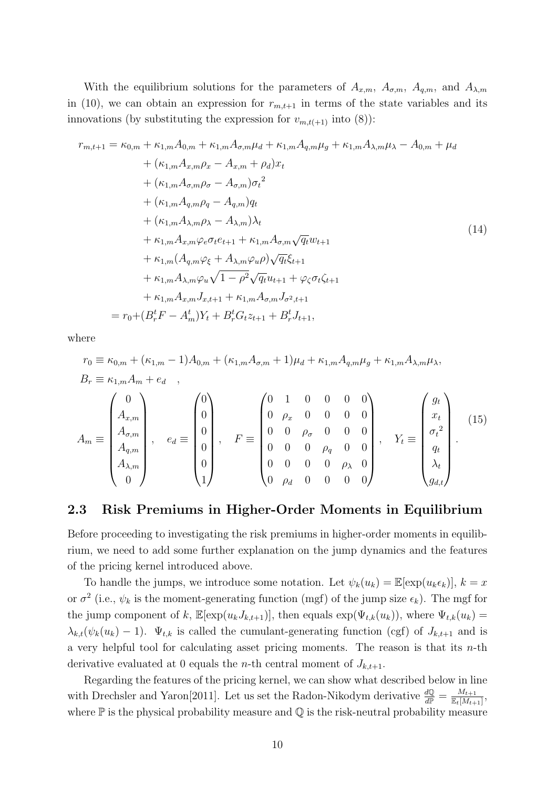With the equilibrium solutions for the parameters of  $A_{x,m}$ ,  $A_{\sigma,m}$ ,  $A_{q,m}$ , and  $A_{\lambda,m}$ in (10), we can obtain an expression for  $r_{m,t+1}$  in terms of the state variables and its innovations (by substituting the expression for  $v_{m,t(+1)}$  into (8)):

$$
r_{m,t+1} = \kappa_{0,m} + \kappa_{1,m}A_{0,m} + \kappa_{1,m}A_{\sigma,m}\mu_d + \kappa_{1,m}A_{q,m}\mu_g + \kappa_{1,m}A_{\lambda,m}\mu_{\lambda} - A_{0,m} + \mu_d + (\kappa_{1,m}A_{x,m}\rho_x - A_{x,m} + \rho_d)x_t + (\kappa_{1,m}A_{\sigma,m}\rho_{\sigma} - A_{\sigma,m})\sigma_t^2 + (\kappa_{1,m}A_{q,m}\rho_q - A_{q,m})q_t + (\kappa_{1,m}A_{\lambda,m}\rho_{\lambda} - A_{\lambda,m})\lambda_t + \kappa_{1,m}A_{x,m}\varphi_e\sigma_t e_{t+1} + \kappa_{1,m}A_{\sigma,m}\sqrt{q_t}w_{t+1} + \kappa_{1,m}(A_{q,m}\varphi_{\xi} + A_{\lambda,m}\varphi_u\rho)\sqrt{q_t}\xi_{t+1} + \kappa_{1,m}A_{\lambda,m}\varphi_u\sqrt{1-\rho^2}\sqrt{q_t}u_{t+1} + \varphi_{\zeta}\sigma_t\zeta_{t+1} + \kappa_{1,m}A_{x,m}J_{x,t+1} + \kappa_{1,m}A_{\sigma,m}J_{\sigma^2,t+1} = r_0 + (B_r^tF - A_m^t)Y_t + B_r^tG_tz_{t+1} + B_r^tJ_{t+1},
$$
\n(14)

where

$$
r_0 \equiv \kappa_{0,m} + (\kappa_{1,m} - 1)A_{0,m} + (\kappa_{1,m}A_{\sigma,m} + 1)\mu_d + \kappa_{1,m}A_{q,m}\mu_g + \kappa_{1,m}A_{\lambda,m}\mu_\lambda,
$$
  
\n
$$
B_r \equiv \kappa_{1,m}A_m + e_d ,
$$

$$
A_m \equiv \begin{pmatrix} 0 \\ A_{x,m} \\ A_{\sigma,m} \\ A_{q,m} \\ A_{\lambda,m} \\ 0 \end{pmatrix}, \quad e_d \equiv \begin{pmatrix} 0 \\ 0 \\ 0 \\ 0 \\ 0 \\ 1 \end{pmatrix}, \quad F \equiv \begin{pmatrix} 0 & 1 & 0 & 0 & 0 & 0 \\ 0 & \rho_x & 0 & 0 & 0 & 0 \\ 0 & 0 & \rho_\sigma & 0 & 0 & 0 \\ 0 & 0 & 0 & \rho_q & 0 & 0 \\ 0 & 0 & 0 & \rho_\lambda & 0 & 0 \\ 0 & \rho_d & 0 & 0 & 0 & 0 \end{pmatrix}, \quad Y_t \equiv \begin{pmatrix} g_t \\ x_t \\ \sigma_t^2 \\ q_t \\ \lambda_t \\ g_{d,t} \end{pmatrix}.
$$
 (15)

### **2.3 Risk Premiums in Higher-Order Moments in Equilibrium**

Before proceeding to investigating the risk premiums in higher-order moments in equilibrium, we need to add some further explanation on the jump dynamics and the features of the pricing kernel introduced above.

To handle the jumps, we introduce some notation. Let  $\psi_k(u_k) = \mathbb{E}[\exp(u_k \epsilon_k)], k = x$ or  $\sigma^2$  (i.e.,  $\psi_k$  is the moment-generating function (mgf) of the jump size  $\epsilon_k$ ). The mgf for the jump component of *k*,  $\mathbb{E}[\exp(u_k J_{k,t+1})]$ , then equals  $\exp(\Psi_{t,k}(u_k))$ , where  $\Psi_{t,k}(u_k)$  $\lambda_{k,t}(\psi_k(u_k)-1)$ .  $\Psi_{t,k}$  is called the cumulant-generating function (cgf) of  $J_{k,t+1}$  and is a very helpful tool for calculating asset pricing moments. The reason is that its *n*-th derivative evaluated at 0 equals the *n*-th central moment of  $J_{k,t+1}$ .

Regarding the features of the pricing kernel, we can show what described below in line with Drechsler and Yaron<sup>[2011]</sup>. Let us set the Radon-Nikodym derivative  $\frac{d\mathbb{Q}}{d\mathbb{P}} = \frac{M_{t+1}}{\mathbb{E}_t[M_{t+1}]}$  $\frac{M_{t+1}}{\mathbb{E}_t[M_{t+1}]},$ where  $\mathbb P$  is the physical probability measure and  $\mathbb Q$  is the risk-neutral probability measure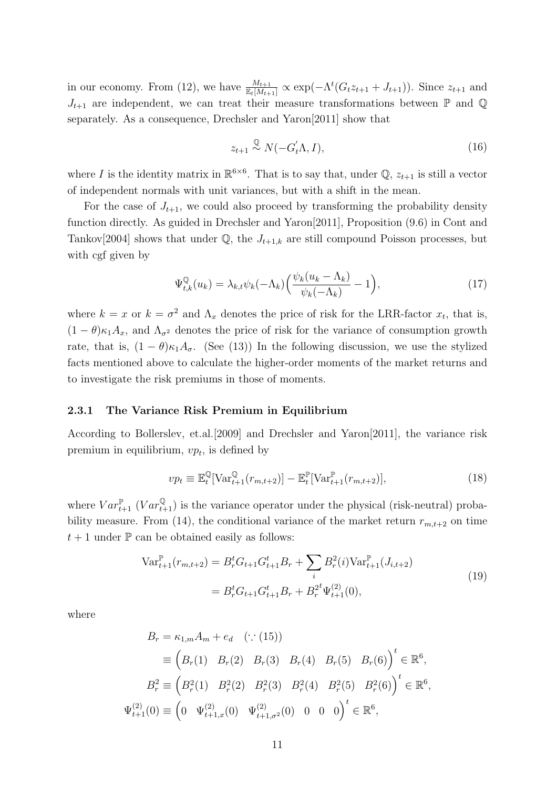in our economy. From (12), we have  $\frac{M_{t+1}}{\mathbb{E}_t[M_{t+1}]} \propto \exp(-\Lambda^t(G_t z_{t+1} + J_{t+1}))$ . Since  $z_{t+1}$  and  $J_{t+1}$  are independent, we can treat their measure transformations between  $\mathbb P$  and  $\mathbb Q$ separately. As a consequence, Drechsler and Yaron[2011] show that

$$
z_{t+1} \stackrel{\mathbb{Q}}{\sim} N(-G_t^{\prime} \Lambda, I), \tag{16}
$$

where *I* is the identity matrix in  $\mathbb{R}^{6\times6}$ . That is to say that, under Q,  $z_{t+1}$  is still a vector of independent normals with unit variances, but with a shift in the mean.

For the case of  $J_{t+1}$ , we could also proceed by transforming the probability density function directly. As guided in Drechsler and Yaron[2011], Proposition (9.6) in Cont and Tankov[2004] shows that under  $\mathbb{Q}$ , the  $J_{t+1,k}$  are still compound Poisson processes, but with cgf given by

$$
\Psi_{t,k}^{\mathbb{Q}}(u_k) = \lambda_{k,t} \psi_k(-\Lambda_k) \left( \frac{\psi_k(u_k - \Lambda_k)}{\psi_k(-\Lambda_k)} - 1 \right),\tag{17}
$$

where  $k = x$  or  $k = \sigma^2$  and  $\Lambda_x$  denotes the price of risk for the LRR-factor  $x_t$ , that is,  $(1 - \theta)\kappa_1 A_x$ , and  $\Lambda_{\sigma^2}$  denotes the price of risk for the variance of consumption growth rate, that is,  $(1 - \theta)\kappa_1 A_\sigma$ . (See (13)) In the following discussion, we use the stylized facts mentioned above to calculate the higher-order moments of the market returns and to investigate the risk premiums in those of moments.

#### **2.3.1 The Variance Risk Premium in Equilibrium**

According to Bollerslev, et.al.[2009] and Drechsler and Yaron[2011], the variance risk premium in equilibrium, *vp<sup>t</sup>* , is defined by

$$
vp_t \equiv \mathbb{E}_t^{\mathbb{Q}}[\text{Var}_{t+1}^{\mathbb{Q}}(r_{m,t+2})] - \mathbb{E}_t^{\mathbb{P}}[\text{Var}_{t+1}^{\mathbb{P}}(r_{m,t+2})],\tag{18}
$$

where  $Var_{t+1}^{\mathbb{P}}$  ( $Var_{t+1}^{\mathbb{Q}}$ ) is the variance operator under the physical (risk-neutral) probability measure. From (14), the conditional variance of the market return  $r_{m,t+2}$  on time  $t+1$  under  $\mathbb P$  can be obtained easily as follows:

$$
\operatorname{Var}_{t+1}^{\mathbb{P}}(r_{m,t+2}) = B_r^t G_{t+1} G_{t+1}^t B_r + \sum_i B_r^2(i) \operatorname{Var}_{t+1}^{\mathbb{P}}(J_{i,t+2})
$$
  
=  $B_r^t G_{t+1} G_{t+1}^t B_r + B_r^{2t} \Psi_{t+1}^{(2)}(0),$  (19)

*,*

where

$$
B_r = \kappa_{1,m} A_m + e_d \quad (\because (15))
$$
  
\n
$$
\equiv \left( B_r(1) \quad B_r(2) \quad B_r(3) \quad B_r(4) \quad B_r(5) \quad B_r(6) \right)^t \in \mathbb{R}^6,
$$
  
\n
$$
B_r^2 \equiv \left( B_r^2(1) \quad B_r^2(2) \quad B_r^2(3) \quad B_r^2(4) \quad B_r^2(5) \quad B_r^2(6) \right)^t \in \mathbb{R}^6
$$
  
\n
$$
\Psi_{t+1}^{(2)}(0) \equiv \left( 0 \quad \Psi_{t+1,x}^{(2)}(0) \quad \Psi_{t+1,\sigma^2}^{(2)}(0) \quad 0 \quad 0 \quad 0 \right)^t \in \mathbb{R}^6,
$$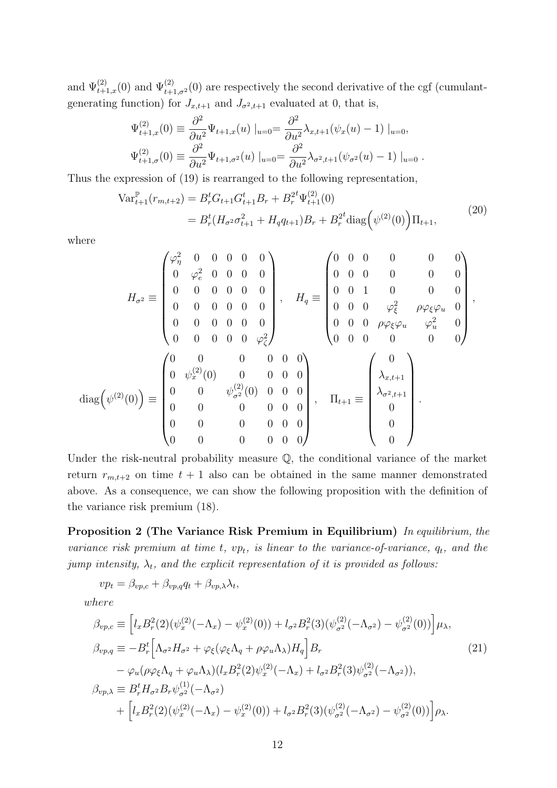and  $\Psi_{t+1,x}^{(2)}(0)$  and  $\Psi_{t+1,\sigma^2}^{(2)}(0)$  are respectively the second derivative of the cgf (cumulantgenerating function) for  $J_{x,t+1}$  and  $J_{\sigma^2,t+1}$  evaluated at 0, that is,

$$
\Psi_{t+1,x}^{(2)}(0) \equiv \frac{\partial^2}{\partial u^2} \Psi_{t+1,x}(u) \mid_{u=0} = \frac{\partial^2}{\partial u^2} \lambda_{x,t+1} (\psi_x(u) - 1) \mid_{u=0},
$$
  

$$
\Psi_{t+1,\sigma}^{(2)}(0) \equiv \frac{\partial^2}{\partial u^2} \Psi_{t+1,\sigma^2}(u) \mid_{u=0} = \frac{\partial^2}{\partial u^2} \lambda_{\sigma^2,t+1} (\psi_{\sigma^2}(u) - 1) \mid_{u=0}.
$$

Thus the expression of (19) is rearranged to the following representation,

$$
\operatorname{Var}_{t+1}^{\mathbb{P}}(r_{m,t+2}) = B_r^t G_{t+1} G_{t+1}^t B_r + B_r^{2t} \Psi_{t+1}^{(2)}(0)
$$
  
= 
$$
B_r^t (H_{\sigma^2} \sigma_{t+1}^2 + H_q q_{t+1}) B_r + B_r^{2t} \operatorname{diag}(\psi^{(2)}(0)) \Pi_{t+1},
$$
 (20)

where

$$
H_{\sigma^2} \equiv \begin{pmatrix} \varphi_{\eta}^2 & 0 & 0 & 0 & 0 & 0 \\ 0 & \varphi_{e}^2 & 0 & 0 & 0 & 0 \\ 0 & 0 & 0 & 0 & 0 & 0 \\ 0 & 0 & 0 & 0 & 0 & 0 \\ 0 & 0 & 0 & 0 & 0 & 0 \\ 0 & 0 & 0 & 0 & 0 & \varphi_{\zeta}^2 \end{pmatrix}, \quad H_q \equiv \begin{pmatrix} 0 & 0 & 0 & 0 & 0 & 0 \\ 0 & 0 & 0 & 0 & 0 & 0 \\ 0 & 0 & 1 & 0 & 0 & 0 & 0 \\ 0 & 0 & 0 & \varphi_{\zeta}^2 & \rho \varphi_{\xi} \varphi_u & 0 \\ 0 & 0 & 0 & \varphi_{\zeta}^2 \end{pmatrix},
$$

$$
\text{diag}(\psi^{(2)}(0)) \equiv \begin{pmatrix} 0 & 0 & 0 & 0 & 0 & 0 \\ 0 & \psi_{x}^{(2)}(0) & 0 & 0 & 0 & 0 \\ 0 & 0 & \psi_{\sigma^2}^{(2)}(0) & 0 & 0 & 0 \\ 0 & 0 & 0 & 0 & 0 & 0 \\ 0 & 0 & 0 & 0 & 0 & 0 \\ 0 & 0 & 0 & 0 & 0 & 0 \end{pmatrix}, \quad \Pi_{t+1} \equiv \begin{pmatrix} 0 \\ \lambda_{x,t+1} \\ \lambda_{x,t+1} \\ \lambda_{\sigma^2,t+1} \\ 0 \\ 0 \\ 0 \end{pmatrix}.
$$

Under the risk-neutral probability measure  $\mathbb{Q}$ , the conditional variance of the market return  $r_{m,t+2}$  on time  $t+1$  also can be obtained in the same manner demonstrated above. As a consequence, we can show the following proposition with the definition of the variance risk premium (18).

**Proposition 2 (The Variance Risk Premium in Equilibrium)** *In equilibrium, the variance risk premium at time t,*  $vp_t$ *, is linear to the variance-of-variance,*  $q_t$ *, and the jump intensity,*  $\lambda_t$ , and the explicit representation of it is provided as follows:

$$
vp_t = \beta_{vp,c} + \beta_{vp,q}q_t + \beta_{vp,\lambda}\lambda_t,
$$

*where*

$$
\beta_{vp,c} \equiv \left[ l_x B_r^2(2) (\psi_x^{(2)}(-\Lambda_x) - \psi_x^{(2)}(0)) + l_{\sigma^2} B_r^2(3) (\psi_{\sigma^2}^{(2)}(-\Lambda_{\sigma^2}) - \psi_{\sigma^2}^{(2)}(0)) \right] \mu_{\lambda},
$$
\n
$$
\beta_{vp,q} \equiv -B_r^t \left[ \Lambda_{\sigma^2} H_{\sigma^2} + \varphi_{\xi} (\varphi_{\xi} \Lambda_q + \rho \varphi_u \Lambda_\lambda) H_q \right] B_r \qquad (21)
$$
\n
$$
- \varphi_u (\rho \varphi_{\xi} \Lambda_q + \varphi_u \Lambda_\lambda) (l_x B_r^2(2) \psi_x^{(2)}(-\Lambda_x) + l_{\sigma^2} B_r^2(3) \psi_{\sigma^2}^{(2)}(-\Lambda_{\sigma^2})),
$$
\n
$$
\beta_{vp,\lambda} \equiv B_r^t H_{\sigma^2} B_r \psi_{\sigma^2}^{(1)}(-\Lambda_{\sigma^2})
$$
\n
$$
+ \left[ l_x B_r^2(2) (\psi_x^{(2)}(-\Lambda_x) - \psi_x^{(2)}(0)) + l_{\sigma^2} B_r^2(3) (\psi_{\sigma^2}^{(2)}(-\Lambda_{\sigma^2}) - \psi_{\sigma^2}^{(2)}(0)) \right] \rho_{\lambda}.
$$
\n(22)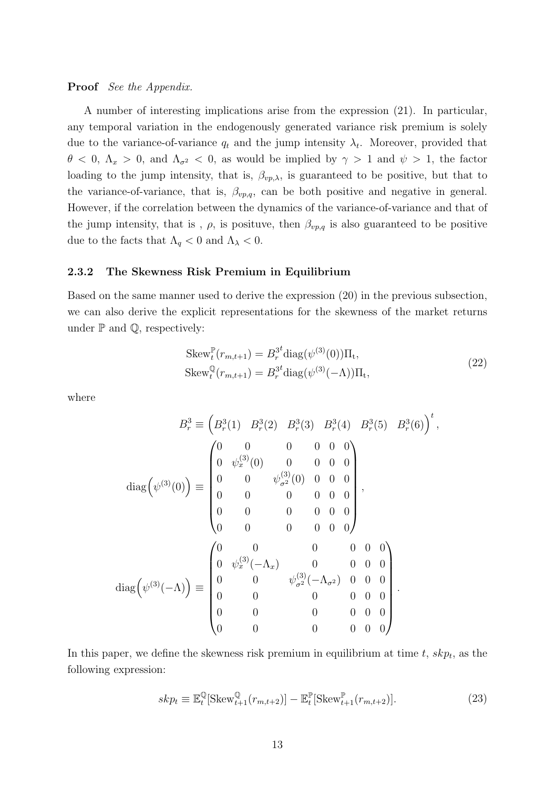#### **Proof** *See the Appendix.*

A number of interesting implications arise from the expression (21). In particular, any temporal variation in the endogenously generated variance risk premium is solely due to the variance-of-variance  $q_t$  and the jump intensity  $\lambda_t$ . Moreover, provided that  $\theta$  < 0,  $\Lambda_x$  > 0, and  $\Lambda_{\sigma^2}$  < 0, as would be implied by  $\gamma$  > 1 and  $\psi$  > 1, the factor loading to the jump intensity, that is,  $\beta_{vp,\lambda}$ , is guaranteed to be positive, but that to the variance-of-variance, that is,  $\beta_{vp,q}$ , can be both positive and negative in general. However, if the correlation between the dynamics of the variance-of-variance and that of the jump intensity, that is,  $\rho$ , is posituve, then  $\beta_{vp,q}$  is also guaranteed to be positive due to the facts that  $\Lambda_q < 0$  and  $\Lambda_{\lambda} < 0$ .

#### **2.3.2 The Skewness Risk Premium in Equilibrium**

Based on the same manner used to derive the expression (20) in the previous subsection, we can also derive the explicit representations for the skewness of the market returns under  $\mathbb P$  and  $\mathbb Q$ , respectively:

$$
Skew_t^{\mathbb{P}}(r_{m,t+1}) = B_r^{3t} diag(\psi^{(3)}(0)) \Pi_t,
$$
  
\n
$$
Skew_t^{\mathbb{Q}}(r_{m,t+1}) = B_r^{3t} diag(\psi^{(3)}(-\Lambda)) \Pi_t,
$$
\n(22)

where

$$
B_r^3 \equiv \left(B_r^3(1) \quad B_r^3(2) \quad B_r^3(3) \quad B_r^3(4) \quad B_r^3(5) \quad B_r^3(6)\right)^t,
$$
  

$$
\text{diag}\left(\psi^{(3)}(0)\right) \equiv \begin{pmatrix} 0 & 0 & 0 & 0 & 0 \\ 0 & \psi_x^{(3)}(0) & 0 & 0 & 0 & 0 \\ 0 & 0 & \psi_{\sigma^2}^{(3)}(0) & 0 & 0 & 0 \\ 0 & 0 & 0 & 0 & 0 & 0 \\ 0 & 0 & 0 & 0 & 0 & 0 \\ 0 & 0 & 0 & 0 & 0 & 0 \end{pmatrix},
$$
  

$$
\text{diag}\left(\psi^{(3)}(-\Lambda)\right) \equiv \begin{pmatrix} 0 & 0 & 0 & 0 & 0 & 0 \\ 0 & \psi_x^{(3)}(-\Lambda_x) & 0 & 0 & 0 & 0 \\ 0 & 0 & \psi_{\sigma^2}^{(3)}(-\Lambda_{\sigma^2}) & 0 & 0 & 0 \\ 0 & 0 & 0 & 0 & 0 & 0 \\ 0 & 0 & 0 & 0 & 0 & 0 \end{pmatrix}.
$$

In this paper, we define the skewness risk premium in equilibrium at time *t*, *skp<sup>t</sup>* , as the following expression:

$$
skp_t \equiv \mathbb{E}_t^{\mathbb{Q}}[\text{Skew}_{t+1}^{\mathbb{Q}}(r_{m,t+2})] - \mathbb{E}_t^{\mathbb{P}}[\text{Skew}_{t+1}^{\mathbb{P}}(r_{m,t+2})].\tag{23}
$$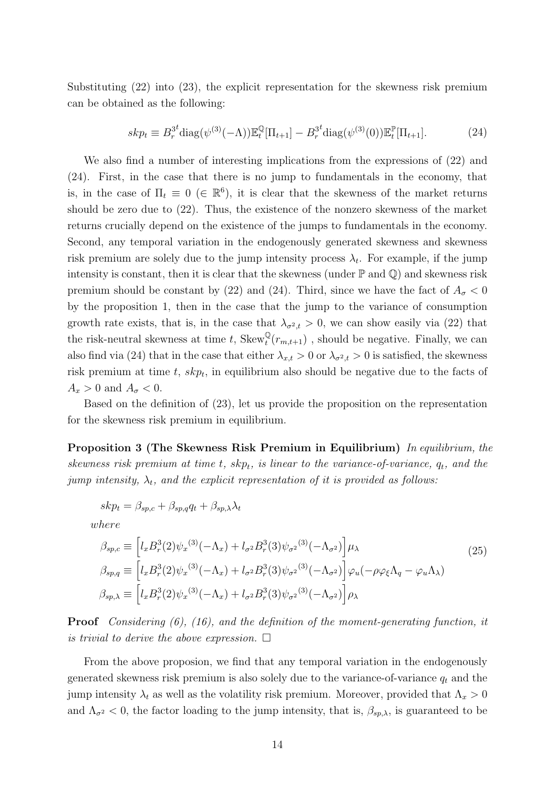Substituting (22) into (23), the explicit representation for the skewness risk premium can be obtained as the following:

$$
skp_t \equiv B_r^{3t} \text{diag}(\psi^{(3)}(-\Lambda)) \mathbb{E}_t^{\mathbb{Q}}[\Pi_{t+1}] - B_r^{3t} \text{diag}(\psi^{(3)}(0)) \mathbb{E}_t^{\mathbb{P}}[\Pi_{t+1}]. \tag{24}
$$

We also find a number of interesting implications from the expressions of (22) and (24). First, in the case that there is no jump to fundamentals in the economy, that is, in the case of  $\Pi_t \equiv 0 \ (\in \mathbb{R}^6)$ , it is clear that the skewness of the market returns should be zero due to (22). Thus, the existence of the nonzero skewness of the market returns crucially depend on the existence of the jumps to fundamentals in the economy. Second, any temporal variation in the endogenously generated skewness and skewness risk premium are solely due to the jump intensity process  $\lambda_t$ . For example, if the jump intensity is constant, then it is clear that the skewness (under  $\mathbb P$  and  $\mathbb Q$ ) and skewness risk premium should be constant by (22) and (24). Third, since we have the fact of  $A_{\sigma} < 0$ by the proposition 1, then in the case that the jump to the variance of consumption growth rate exists, that is, in the case that  $\lambda_{\sigma^2,t} > 0$ , we can show easily via (22) that the risk-neutral skewness at time *t*,  $Skew_t^{\psi}(r_{m,t+1})$ , should be negative. Finally, we can also find via (24) that in the case that either  $\lambda_{x,t} > 0$  or  $\lambda_{\sigma^2,t} > 0$  is satisfied, the skewness risk premium at time *t*, *skp<sup>t</sup>* , in equilibrium also should be negative due to the facts of  $A_x > 0$  and  $A_\sigma < 0$ .

Based on the definition of (23), let us provide the proposition on the representation for the skewness risk premium in equilibrium.

**Proposition 3 (The Skewness Risk Premium in Equilibrium)** *In equilibrium, the skewness risk premium at time t, skpt, is linear to the variance-of-variance, qt, and the jump intensity,*  $\lambda_t$ *, and the explicit representation of it is provided as follows:* 

$$
skp_t = \beta_{sp,c} + \beta_{sp,q}q_t + \beta_{sp,\lambda}\lambda_t
$$

*where*

$$
\beta_{sp,c} \equiv \left[ l_x B_r^3(2) \psi_x^{(3)}(-\Lambda_x) + l_{\sigma^2} B_r^3(3) \psi_{\sigma^2}^{(3)}(-\Lambda_{\sigma^2}) \right] \mu_\lambda
$$
\n
$$
\beta_{sp,q} \equiv \left[ l_x B_r^3(2) \psi_x^{(3)}(-\Lambda_x) + l_{\sigma^2} B_r^3(3) \psi_{\sigma^2}^{(3)}(-\Lambda_{\sigma^2}) \right] \varphi_u(-\rho \varphi_\xi \Lambda_q - \varphi_u \Lambda_\lambda)
$$
\n
$$
\beta_{sp,\lambda} \equiv \left[ l_x B_r^3(2) \psi_x^{(3)}(-\Lambda_x) + l_{\sigma^2} B_r^3(3) \psi_{\sigma^2}^{(3)}(-\Lambda_{\sigma^2}) \right] \rho_\lambda
$$
\n(25)

**Proof** *Considering (6), (16), and the definition of the moment-generating function, it is trivial to derive the above expression.*  $\Box$ 

From the above proposion, we find that any temporal variation in the endogenously generated skewness risk premium is also solely due to the variance-of-variance *q<sup>t</sup>* and the jump intensity  $\lambda_t$  as well as the volatility risk premium. Moreover, provided that  $\Lambda_x > 0$ and  $\Lambda_{\sigma^2}$  < 0, the factor loading to the jump intensity, that is,  $\beta_{sp,\lambda}$ , is guaranteed to be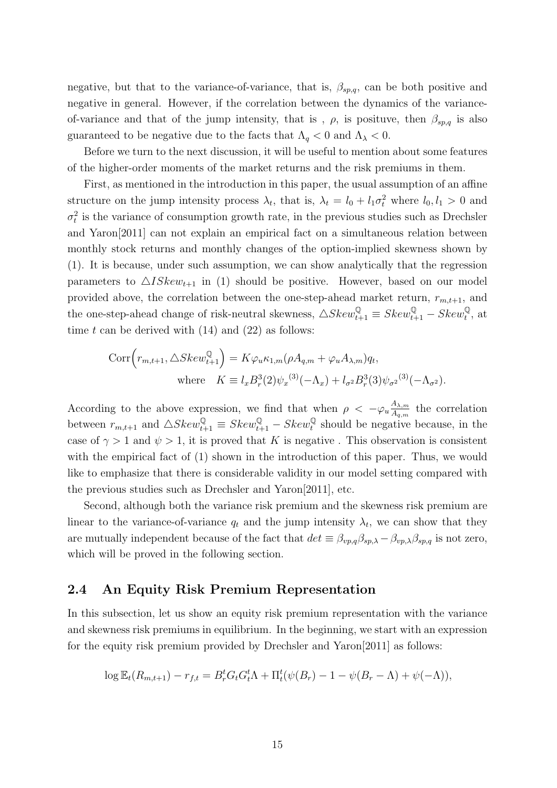negative, but that to the variance-of-variance, that is,  $\beta_{sp,q}$ , can be both positive and negative in general. However, if the correlation between the dynamics of the varianceof-variance and that of the jump intensity, that is,  $\rho$ , is posituve, then  $\beta_{sp,q}$  is also guaranteed to be negative due to the facts that  $\Lambda_q < 0$  and  $\Lambda_{\lambda} < 0$ .

Before we turn to the next discussion, it will be useful to mention about some features of the higher-order moments of the market returns and the risk premiums in them.

First, as mentioned in the introduction in this paper, the usual assumption of an affine structure on the jump intensity process  $\lambda_t$ , that is,  $\lambda_t = l_0 + l_1 \sigma_t^2$  where  $l_0, l_1 > 0$  and  $\sigma_t^2$  is the variance of consumption growth rate, in the previous studies such as Drechsler and Yaron[2011] can not explain an empirical fact on a simultaneous relation between monthly stock returns and monthly changes of the option-implied skewness shown by (1). It is because, under such assumption, we can show analytically that the regression parameters to  $\triangle ISkew_{t+1}$  in (1) should be positive. However, based on our model provided above, the correlation between the one-step-ahead market return,  $r_{m,t+1}$ , and the one-step-ahead change of risk-neutral skewness,  $\triangle Skew_{t+1}^{\mathbb{Q}} \equiv Skew_{t+1}^{\mathbb{Q}} - Skew_t^{\mathbb{Q}}$ , at time  $t$  can be derived with  $(14)$  and  $(22)$  as follows:

$$
Corr(r_{m,t+1}, \triangle Skew_{t+1}^{\mathbb{Q}}) = K\varphi_u \kappa_{1,m}(\rho A_{q,m} + \varphi_u A_{\lambda,m})q_t,
$$
  
where  $K \equiv l_x B_r^3(2)\psi_x^{(3)}(-\Lambda_x) + l_{\sigma^2} B_r^3(3)\psi_{\sigma^2}^{(3)}(-\Lambda_{\sigma^2}).$ 

According to the above expression, we find that when  $\rho < -\varphi_u \frac{A_{\lambda,m}}{A_{\lambda,m}}$  $\frac{A_{\lambda,m}}{A_{q,m}}$  the correlation between  $r_{m,t+1}$  and  $\triangle Skew_{t+1}^{\mathcal{Q}} \equiv Skew_{t+1}^{\mathcal{Q}} - Skew_t^{\mathcal{Q}}$  should be negative because, in the case of  $\gamma > 1$  and  $\psi > 1$ , it is proved that *K* is negative. This observation is consistent with the empirical fact of (1) shown in the introduction of this paper. Thus, we would like to emphasize that there is considerable validity in our model setting compared with the previous studies such as Drechsler and Yaron[2011], etc.

Second, although both the variance risk premium and the skewness risk premium are linear to the variance-of-variance  $q_t$  and the jump intensity  $\lambda_t$ , we can show that they are mutually independent because of the fact that  $det \equiv \beta_{vp,q}\beta_{sp,\lambda} - \beta_{vp,\lambda}\beta_{sp,q}$  is not zero, which will be proved in the following section.

## **2.4 An Equity Risk Premium Representation**

In this subsection, let us show an equity risk premium representation with the variance and skewness risk premiums in equilibrium. In the beginning, we start with an expression for the equity risk premium provided by Drechsler and Yaron[2011] as follows:

$$
\log \mathbb{E}_{t}(R_{m,t+1}) - r_{f,t} = B_{r}^{t} G_{t} G_{t}^{t} \Lambda + \Pi_{t}^{t} (\psi(B_{r}) - 1 - \psi(B_{r} - \Lambda) + \psi(-\Lambda)),
$$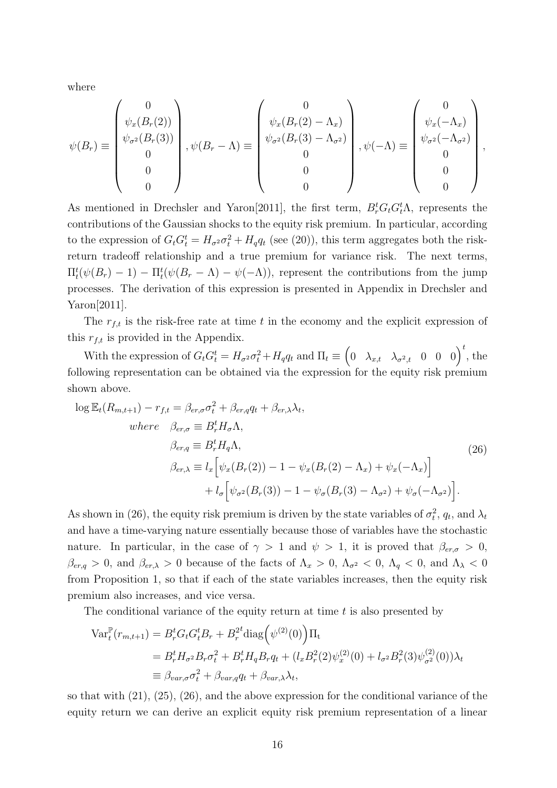where

$$
\psi(B_r) \equiv \begin{pmatrix} 0 \\ \psi_x(B_r(2)) \\ \psi_{\sigma^2}(B_r(3)) \\ 0 \\ 0 \\ 0 \end{pmatrix}, \psi(B_r - \Lambda) \equiv \begin{pmatrix} 0 \\ \psi_x(B_r(2) - \Lambda_x) \\ \psi_{\sigma^2}(B_r(3) - \Lambda_{\sigma^2}) \\ 0 \\ 0 \\ 0 \end{pmatrix}, \psi(-\Lambda) \equiv \begin{pmatrix} 0 \\ \psi_x(-\Lambda_x) \\ \psi_{\sigma^2}(-\Lambda_{\sigma^2}) \\ 0 \\ 0 \\ 0 \end{pmatrix},
$$

As mentioned in Drechsler and Yaron<sup>[2011]</sup>, the first term,  $B_r^t G_t G_t^t \Lambda$ , represents the contributions of the Gaussian shocks to the equity risk premium. In particular, according to the expression of  $G_t G_t^t = H_{\sigma^2} \sigma_t^2 + H_q q_t$  (see (20)), this term aggregates both the riskreturn tradeoff relationship and a true premium for variance risk. The next terms,  $\Pi_t^t(\psi(B_r) - 1) - \Pi_t^t(\psi(B_r - \Lambda) - \psi(-\Lambda))$ , represent the contributions from the jump processes. The derivation of this expression is presented in Appendix in Drechsler and Yaron[2011].

The  $r_{f,t}$  is the risk-free rate at time  $t$  in the economy and the explicit expression of this *rf,t* is provided in the Appendix.

With the expression of  $G_t G_t^t = H_{\sigma^2} \sigma_t^2 + H_q q_t$  and  $\Pi_t \equiv \begin{pmatrix} 0 & \lambda_{x,t} & \lambda_{\sigma^2,t} & 0 & 0 & 0 \end{pmatrix}^t$ , the following representation can be obtained via the expression for the equity risk premium shown above.

$$
\log \mathbb{E}_{t}(R_{m,t+1}) - r_{f,t} = \beta_{er,\sigma} \sigma_{t}^{2} + \beta_{er,q} q_{t} + \beta_{er,\lambda} \lambda_{t},
$$
  
\n
$$
where \quad \beta_{er,\sigma} \equiv B_{r}^{t} H_{\sigma} \Lambda,
$$
  
\n
$$
\beta_{er,q} \equiv B_{r}^{t} H_{q} \Lambda,
$$
  
\n
$$
\beta_{er,\lambda} \equiv l_{x} \Big[ \psi_{x}(B_{r}(2)) - 1 - \psi_{x}(B_{r}(2) - \Lambda_{x}) + \psi_{x}(-\Lambda_{x}) \Big] + l_{\sigma} \Big[ \psi_{\sigma^{2}}(B_{r}(3)) - 1 - \psi_{\sigma}(B_{r}(3) - \Lambda_{\sigma^{2}}) + \psi_{\sigma}(-\Lambda_{\sigma^{2}}) \Big].
$$
\n(26)

As shown in (26), the equity risk premium is driven by the state variables of  $\sigma_t^2$ ,  $q_t$ , and  $\lambda_t$ and have a time-varying nature essentially because those of variables have the stochastic nature. In particular, in the case of  $\gamma > 1$  and  $\psi > 1$ , it is proved that  $\beta_{er,\sigma} > 0$ ,  $\beta_{er,q} > 0$ , and  $\beta_{er,\lambda} > 0$  because of the facts of  $\Lambda_x > 0$ ,  $\Lambda_{\sigma^2} < 0$ ,  $\Lambda_q < 0$ , and  $\Lambda_\lambda < 0$ from Proposition 1, so that if each of the state variables increases, then the equity risk premium also increases, and vice versa.

The conditional variance of the equity return at time *t* is also presented by

$$
\begin{split} \text{Var}_{t}^{\mathbb{P}}(r_{m,t+1}) &= B_{r}^{t} G_{t} G_{t}^{t} B_{r} + B_{r}^{2t} \text{diag}\left(\psi^{(2)}(0)\right) \Pi_{t} \\ &= B_{r}^{t} H_{\sigma^{2}} B_{r} \sigma_{t}^{2} + B_{r}^{t} H_{q} B_{r} q_{t} + (l_{x} B_{r}^{2}(2)\psi_{x}^{(2)}(0) + l_{\sigma^{2}} B_{r}^{2}(3)\psi_{\sigma^{2}}^{(2)}(0)) \lambda_{t} \\ &\equiv \beta_{var,\sigma} \sigma_{t}^{2} + \beta_{var,q} q_{t} + \beta_{var,\lambda} \lambda_{t}, \end{split}
$$

so that with (21), (25), (26), and the above expression for the conditional variance of the equity return we can derive an explicit equity risk premium representation of a linear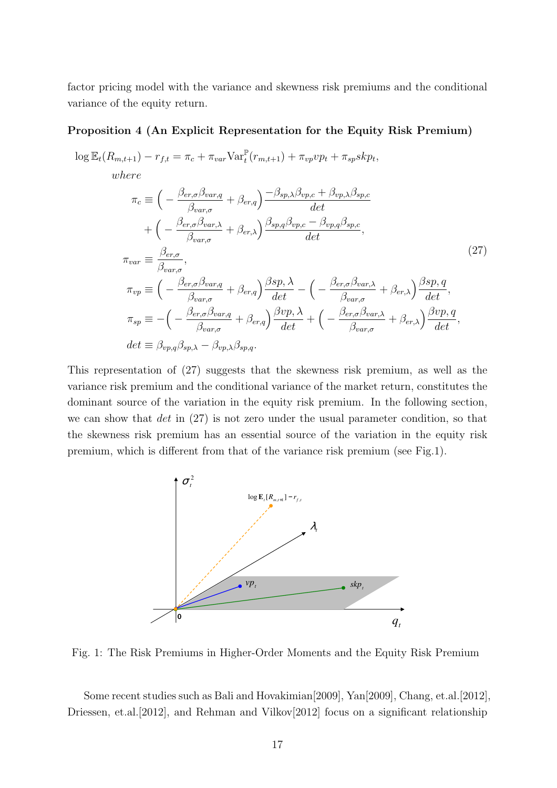factor pricing model with the variance and skewness risk premiums and the conditional variance of the equity return.

#### **Proposition 4 (An Explicit Representation for the Equity Risk Premium)**

$$
\log \mathbb{E}_{t}(R_{m,t+1}) - r_{f,t} = \pi_{c} + \pi_{var} \text{Var}_{t}^{\mathbb{P}}(r_{m,t+1}) + \pi_{vp} vp_{t} + \pi_{sp} skp_{t},
$$
  
\nwhere  
\n
$$
\pi_{c} \equiv \left( -\frac{\beta_{er,\sigma} \beta_{var,q}}{\beta_{var,\sigma}} + \beta_{er,q} \right) \frac{-\beta_{sp,\lambda} \beta_{vp,c} + \beta_{vp,\lambda} \beta_{sp,c}}{det}
$$
\n
$$
+ \left( -\frac{\beta_{er,\sigma} \beta_{var,\lambda}}{\beta_{var,\sigma}} + \beta_{er,\lambda} \right) \frac{\beta_{sp,q} \beta_{vp,c} - \beta_{vp,q} \beta_{sp,c}}{det},
$$
\n
$$
\pi_{var} \equiv \frac{\beta_{er,\sigma}}{\beta_{var,\sigma}},
$$
\n(27)

$$
\pi_{vp} \equiv \left( -\frac{\beta_{er,\sigma}\beta_{var,q}}{\beta_{var,\sigma}} + \beta_{er,q} \right) \frac{\beta sp, \lambda}{det} - \left( -\frac{\beta_{er,\sigma}\beta_{var,\lambda}}{\beta_{var,\sigma}} + \beta_{er,\lambda} \right) \frac{\beta sp, q}{det},
$$
\n
$$
\pi_{sp} \equiv -\left( -\frac{\beta_{er,\sigma}\beta_{var,q}}{\beta_{var,\sigma}} + \beta_{er,q} \right) \frac{\beta vp, \lambda}{det} + \left( -\frac{\beta_{er,\sigma}\beta_{var,\lambda}}{\beta_{var,\sigma}} + \beta_{er,\lambda} \right) \frac{\beta vp, q}{det},
$$
\n
$$
det \equiv \beta_{vp,q}\beta_{sp,\lambda} - \beta_{vp,\lambda}\beta_{sp,q}.
$$

This representation of (27) suggests that the skewness risk premium, as well as the variance risk premium and the conditional variance of the market return, constitutes the dominant source of the variation in the equity risk premium. In the following section, we can show that *det* in (27) is not zero under the usual parameter condition, so that the skewness risk premium has an essential source of the variation in the equity risk premium, which is different from that of the variance risk premium (see Fig.1).



Fig. 1: The Risk Premiums in Higher-Order Moments and the Equity Risk Premium

Some recent studies such as Bali and Hovakimian[2009], Yan[2009], Chang, et.al.[2012], Driessen, et.al.[2012], and Rehman and Vilkov[2012] focus on a significant relationship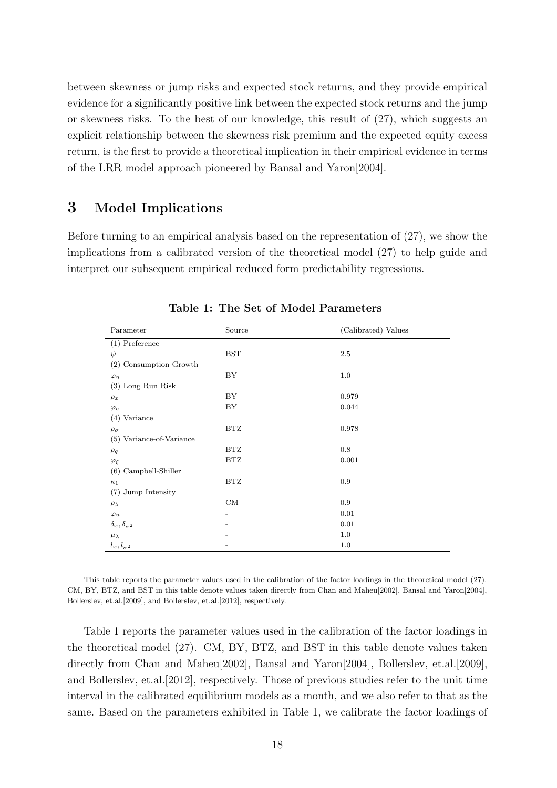between skewness or jump risks and expected stock returns, and they provide empirical evidence for a significantly positive link between the expected stock returns and the jump or skewness risks. To the best of our knowledge, this result of (27), which suggests an explicit relationship between the skewness risk premium and the expected equity excess return, is the first to provide a theoretical implication in their empirical evidence in terms of the LRR model approach pioneered by Bansal and Yaron[2004].

# **3 Model Implications**

Before turning to an empirical analysis based on the representation of (27), we show the implications from a calibrated version of the theoretical model (27) to help guide and interpret our subsequent empirical reduced form predictability regressions.

| Parameter                     | Source     | (Calibrated) Values |
|-------------------------------|------------|---------------------|
| $(1)$ Preference              |            |                     |
| $\psi$                        | <b>BST</b> | 2.5                 |
| Consumption Growth<br>(2)     |            |                     |
| $\varphi_{\eta}$              | BY         | 1.0                 |
| $(3)$ Long Run Risk           |            |                     |
| $\rho_x$                      | BY         | 0.979               |
| $\varphi_e$                   | BY         | 0.044               |
| $(4)$ Variance                |            |                     |
| $\rho_\sigma$                 | BTZ        | 0.978               |
| (5) Variance-of-Variance      |            |                     |
| $\rho_q$                      | BTZ        | 0.8                 |
| $\varphi_\xi$                 | BTZ        | 0.001               |
| $(6)$ Campbell-Shiller        |            |                     |
| $\kappa_1$                    | BTZ        | 0.9                 |
| (7) Jump Intensity            |            |                     |
| $\rho_{\lambda}$              | CM         | 0.9                 |
| $\varphi_u$                   |            | 0.01                |
| $\delta_x, \delta_{\sigma^2}$ |            | 0.01                |
| $\mu_{\lambda}$               |            | 1.0                 |
| $l_x, l_{\sigma^2}$           |            | 1.0                 |

**Table 1: The Set of Model Parameters**

This table reports the parameter values used in the calibration of the factor loadings in the theoretical model (27). CM, BY, BTZ, and BST in this table denote values taken directly from Chan and Maheu[2002], Bansal and Yaron[2004], Bollerslev, et.al.[2009], and Bollerslev, et.al.[2012], respectively.

Table 1 reports the parameter values used in the calibration of the factor loadings in the theoretical model (27). CM, BY, BTZ, and BST in this table denote values taken directly from Chan and Maheu[2002], Bansal and Yaron[2004], Bollerslev, et.al.[2009], and Bollerslev, et.al.[2012], respectively. Those of previous studies refer to the unit time interval in the calibrated equilibrium models as a month, and we also refer to that as the same. Based on the parameters exhibited in Table 1, we calibrate the factor loadings of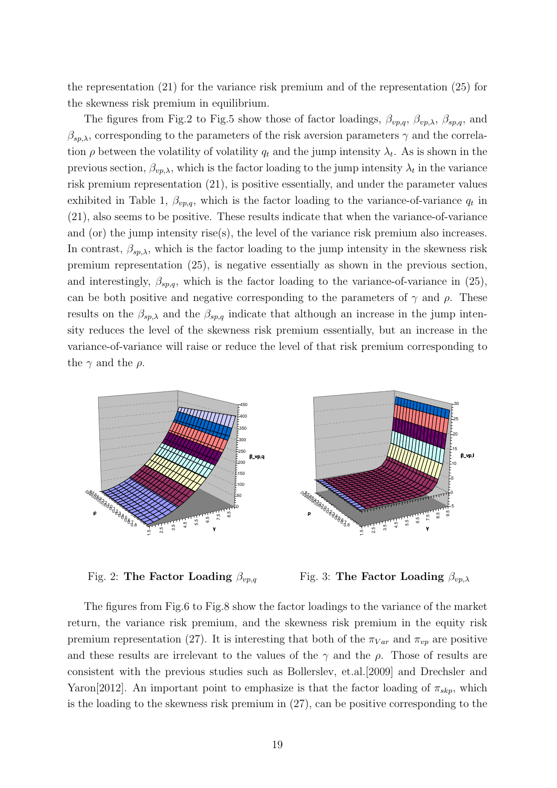the representation (21) for the variance risk premium and of the representation (25) for the skewness risk premium in equilibrium.

The figures from Fig.2 to Fig.5 show those of factor loadings,  $\beta_{vp,q}$ ,  $\beta_{vp,\lambda}$ ,  $\beta_{sp,q}$ , and  $\beta_{sp,\lambda}$ , corresponding to the parameters of the risk aversion parameters  $\gamma$  and the correlation  $\rho$  between the volatility of volatility  $q_t$  and the jump intensity  $\lambda_t$ . As is shown in the previous section,  $\beta_{vp,\lambda}$ , which is the factor loading to the jump intensity  $\lambda_t$  in the variance risk premium representation (21), is positive essentially, and under the parameter values exhibited in Table 1,  $\beta_{vp,q}$ , which is the factor loading to the variance-of-variance  $q_t$  in (21), also seems to be positive. These results indicate that when the variance-of-variance and (or) the jump intensity rise(s), the level of the variance risk premium also increases. In contrast,  $\beta_{sp,\lambda}$ , which is the factor loading to the jump intensity in the skewness risk premium representation (25), is negative essentially as shown in the previous section, and interestingly,  $\beta_{sp,q}$ , which is the factor loading to the variance-of-variance in (25), can be both positive and negative corresponding to the parameters of  $\gamma$  and  $\rho$ . These results on the  $\beta_{sp,\lambda}$  and the  $\beta_{sp,q}$  indicate that although an increase in the jump intensity reduces the level of the skewness risk premium essentially, but an increase in the variance-of-variance will raise or reduce the level of that risk premium corresponding to the  $\gamma$  and the  $\rho$ .



Fig. 2: **The Factor Loading** *βvp,q*

Fig. 3: **The Factor Loading** *βvp,λ*

The figures from Fig.6 to Fig.8 show the factor loadings to the variance of the market return, the variance risk premium, and the skewness risk premium in the equity risk premium representation (27). It is interesting that both of the  $\pi_{Var}$  and  $\pi_{vp}$  are positive and these results are irrelevant to the values of the  $\gamma$  and the  $\rho$ . Those of results are consistent with the previous studies such as Bollerslev, et.al.[2009] and Drechsler and Yaron[2012]. An important point to emphasize is that the factor loading of  $\pi_{skip}$ , which is the loading to the skewness risk premium in (27), can be positive corresponding to the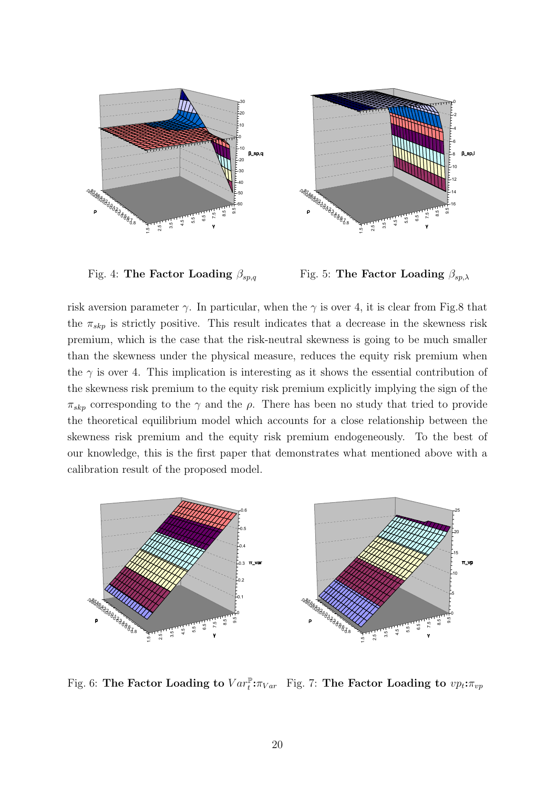

Fig. 4: **The Factor Loading** *βsp,q*

Fig. 5: **The Factor Loading** *βsp,λ*

risk aversion parameter  $\gamma$ . In particular, when the  $\gamma$  is over 4, it is clear from Fig.8 that the  $\pi_{\rm skp}$  is strictly positive. This result indicates that a decrease in the skewness risk premium, which is the case that the risk-neutral skewness is going to be much smaller than the skewness under the physical measure, reduces the equity risk premium when the  $\gamma$  is over 4. This implication is interesting as it shows the essential contribution of the skewness risk premium to the equity risk premium explicitly implying the sign of the  $\pi_{\rm skp}$  corresponding to the *γ* and the *ρ*. There has been no study that tried to provide the theoretical equilibrium model which accounts for a close relationship between the skewness risk premium and the equity risk premium endogeneously. To the best of our knowledge, this is the first paper that demonstrates what mentioned above with a calibration result of the proposed model.



Fig. 6: The Factor Loading to  $Var_t^{\mathbb{P}}:\pi_{Var}$  Fig. 7: The Factor Loading to  $vp_t:\pi_{vp}$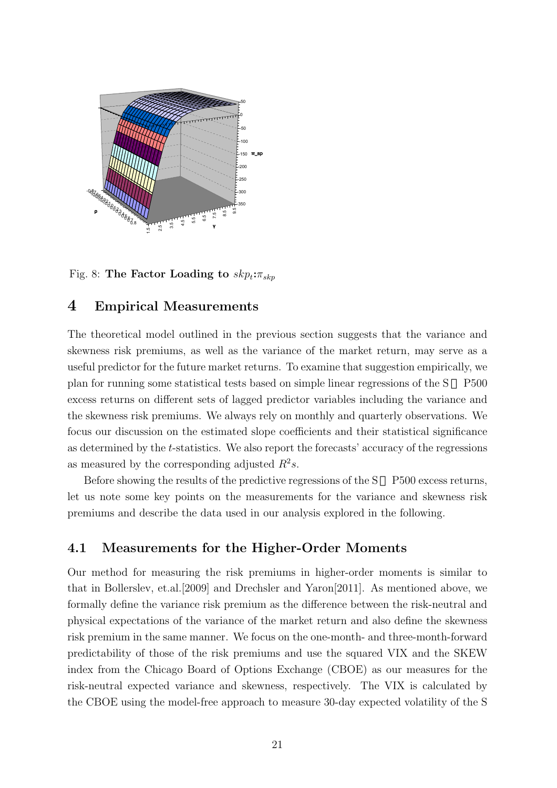

Fig. 8: The Factor Loading to  $skp_t: \pi_{skp}$ 

# **4 Empirical Measurements**

The theoretical model outlined in the previous section suggests that the variance and skewness risk premiums, as well as the variance of the market return, may serve as a useful predictor for the future market returns. To examine that suggestion empirically, we plan for running some statistical tests based on simple linear regressions of the S P500 excess returns on different sets of lagged predictor variables including the variance and the skewness risk premiums. We always rely on monthly and quarterly observations. We focus our discussion on the estimated slope coefficients and their statistical significance as determined by the *t*-statistics. We also report the forecasts' accuracy of the regressions as measured by the corresponding adjusted  $R^2s$ .

Before showing the results of the predictive regressions of the S P500 excess returns, let us note some key points on the measurements for the variance and skewness risk premiums and describe the data used in our analysis explored in the following.

### **4.1 Measurements for the Higher-Order Moments**

Our method for measuring the risk premiums in higher-order moments is similar to that in Bollerslev, et.al.[2009] and Drechsler and Yaron[2011]. As mentioned above, we formally define the variance risk premium as the difference between the risk-neutral and physical expectations of the variance of the market return and also define the skewness risk premium in the same manner. We focus on the one-month- and three-month-forward predictability of those of the risk premiums and use the squared VIX and the SKEW index from the Chicago Board of Options Exchange (CBOE) as our measures for the risk-neutral expected variance and skewness, respectively. The VIX is calculated by the CBOE using the model-free approach to measure 30-day expected volatility of the S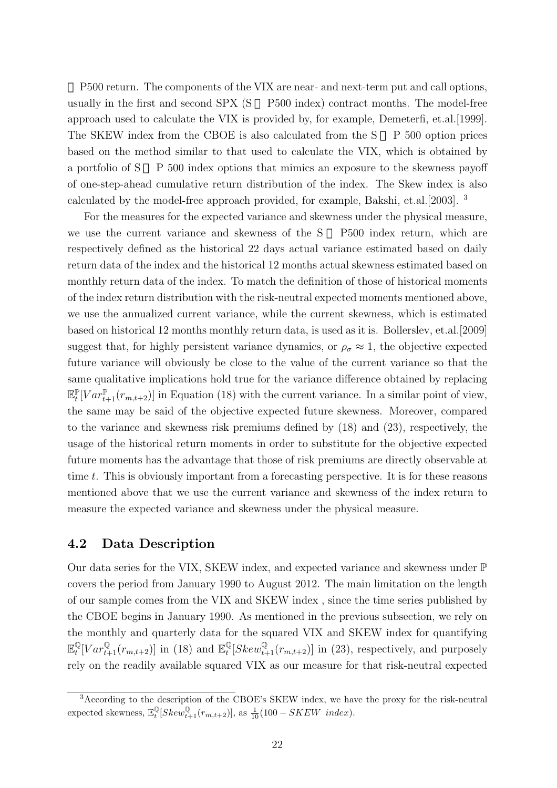P500 return. The components of the VIX are near- and next-term put and call options, usually in the first and second SPX (S P500 index) contract months. The model-free approach used to calculate the VIX is provided by, for example, Demeterfi, et.al.[1999]. The SKEW index from the CBOE is also calculated from the S P 500 option prices based on the method similar to that used to calculate the VIX, which is obtained by a portfolio of S P 500 index options that mimics an exposure to the skewness payoff of one-step-ahead cumulative return distribution of the index. The Skew index is also calculated by the model-free approach provided, for example, Bakshi, et.al.[2003]. <sup>3</sup>

For the measures for the expected variance and skewness under the physical measure, we use the current variance and skewness of the S P500 index return, which are respectively defined as the historical 22 days actual variance estimated based on daily return data of the index and the historical 12 months actual skewness estimated based on monthly return data of the index. To match the definition of those of historical moments of the index return distribution with the risk-neutral expected moments mentioned above, we use the annualized current variance, while the current skewness, which is estimated based on historical 12 months monthly return data, is used as it is. Bollerslev, et.al.[2009] suggest that, for highly persistent variance dynamics, or  $\rho_{\sigma} \approx 1$ , the objective expected future variance will obviously be close to the value of the current variance so that the same qualitative implications hold true for the variance difference obtained by replacing  $\mathbb{E}_{t}^{\mathbb{P}}[Var_{t+1}^{\mathbb{P}}(r_{m,t+2})]$  in Equation (18) with the current variance. In a similar point of view, the same may be said of the objective expected future skewness. Moreover, compared to the variance and skewness risk premiums defined by (18) and (23), respectively, the usage of the historical return moments in order to substitute for the objective expected future moments has the advantage that those of risk premiums are directly observable at time *t*. This is obviously important from a forecasting perspective. It is for these reasons mentioned above that we use the current variance and skewness of the index return to measure the expected variance and skewness under the physical measure.

### **4.2 Data Description**

Our data series for the VIX, SKEW index, and expected variance and skewness under  $\mathbb P$ covers the period from January 1990 to August 2012. The main limitation on the length of our sample comes from the VIX and SKEW index , since the time series published by the CBOE begins in January 1990. As mentioned in the previous subsection, we rely on the monthly and quarterly data for the squared VIX and SKEW index for quantifying  $\mathbb{E}_t^{\mathbb{Q}}[Var_{t+1}^{\mathbb{Q}}(r_{m,t+2})]$  in (18) and  $\mathbb{E}_t^{\mathbb{Q}}[Skew_{t+1}^{\mathbb{Q}}(r_{m,t+2})]$  in (23), respectively, and purposely rely on the readily available squared VIX as our measure for that risk-neutral expected

<sup>3</sup>According to the description of the CBOE's SKEW index, we have the proxy for the risk-neutral expected skewness,  $\mathbb{E}_{t}^{\mathbb{Q}}[Skew_{t+1}^{\mathbb{Q}}(r_{m,t+2})]$ , as  $\frac{1}{10}(100 - SKEW \text{ index}).$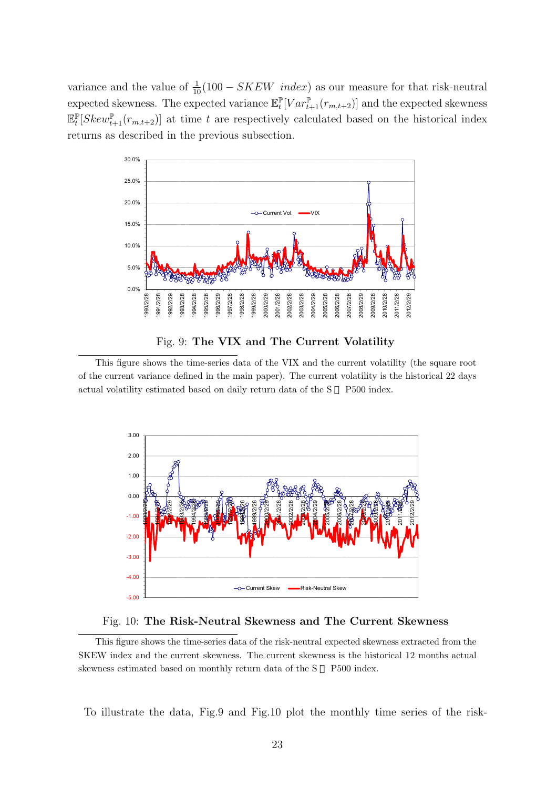variance and the value of  $\frac{1}{10}(100 - SKEW \text{ index})$  as our measure for that risk-neutral  $\text{expected skewness.}$  The expected variance  $\mathbb{E}_t^{\mathbb{P}}[Var_{t+1}^{\mathbb{P}}(r_{m,t+2})]$  and the expected skewness  $\mathbb{E}_{t}^{\mathbb{P}}[Skew_{t+1}^{\mathbb{P}}(r_{m,t+2})]$  at time *t* are respectively calculated based on the historical index returns as described in the previous subsection.





This figure shows the time-series data of the VIX and the current volatility (the square root of the current variance defined in the main paper). The current volatility is the historical 22 days actual volatility estimated based on daily return data of the S P500 index.





This figure shows the time-series data of the risk-neutral expected skewness extracted from the SKEW index and the current skewness. The current skewness is the historical 12 months actual skewness estimated based on monthly return data of the S P500 index.

To illustrate the data, Fig.9 and Fig.10 plot the monthly time series of the risk-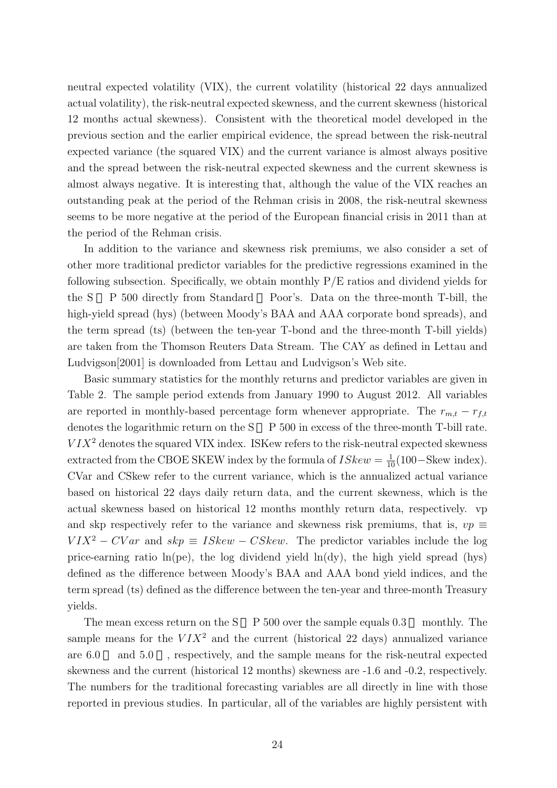neutral expected volatility (VIX), the current volatility (historical 22 days annualized actual volatility), the risk-neutral expected skewness, and the current skewness (historical 12 months actual skewness). Consistent with the theoretical model developed in the previous section and the earlier empirical evidence, the spread between the risk-neutral expected variance (the squared VIX) and the current variance is almost always positive and the spread between the risk-neutral expected skewness and the current skewness is almost always negative. It is interesting that, although the value of the VIX reaches an outstanding peak at the period of the Rehman crisis in 2008, the risk-neutral skewness seems to be more negative at the period of the European financial crisis in 2011 than at the period of the Rehman crisis.

In addition to the variance and skewness risk premiums, we also consider a set of other more traditional predictor variables for the predictive regressions examined in the following subsection. Specifically, we obtain monthly  $P/E$  ratios and dividend yields for the S P 500 directly from Standard Poor's. Data on the three-month T-bill, the high-yield spread (hys) (between Moody's BAA and AAA corporate bond spreads), and the term spread (ts) (between the ten-year T-bond and the three-month T-bill yields) are taken from the Thomson Reuters Data Stream. The CAY as defined in Lettau and Ludvigson[2001] is downloaded from Lettau and Ludvigson's Web site.

Basic summary statistics for the monthly returns and predictor variables are given in Table 2. The sample period extends from January 1990 to August 2012. All variables are reported in monthly-based percentage form whenever appropriate. The  $r_{m,t} - r_{f,t}$ denotes the logarithmic return on the S  $P 500$  in excess of the three-month T-bill rate.  $V I X<sup>2</sup>$  denotes the squared VIX index. ISKew refers to the risk-neutral expected skewness extracted from the CBOE SKEW index by the formula of  $ISkew = \frac{1}{10}(100 - \text{Skew index})$ . CVar and CSkew refer to the current variance, which is the annualized actual variance based on historical 22 days daily return data, and the current skewness, which is the actual skewness based on historical 12 months monthly return data, respectively. vp and skp respectively refer to the variance and skewness risk premiums, that is,  $vp \equiv$  $V I X<sup>2</sup> - CV ar$  and  $skp \equiv ISkew - CSkew$ . The predictor variables include the log price-earning ratio  $ln(pe)$ , the log dividend yield  $ln(dy)$ , the high yield spread (hys) defined as the difference between Moody's BAA and AAA bond yield indices, and the term spread (ts) defined as the difference between the ten-year and three-month Treasury yields.

The mean excess return on the  $S$  P 500 over the sample equals 0.3 monthly. The sample means for the  $V I X<sup>2</sup>$  and the current (historical 22 days) annualized variance are 6.0 and 5.0 , respectively, and the sample means for the risk-neutral expected skewness and the current (historical 12 months) skewness are -1.6 and -0.2, respectively. The numbers for the traditional forecasting variables are all directly in line with those reported in previous studies. In particular, all of the variables are highly persistent with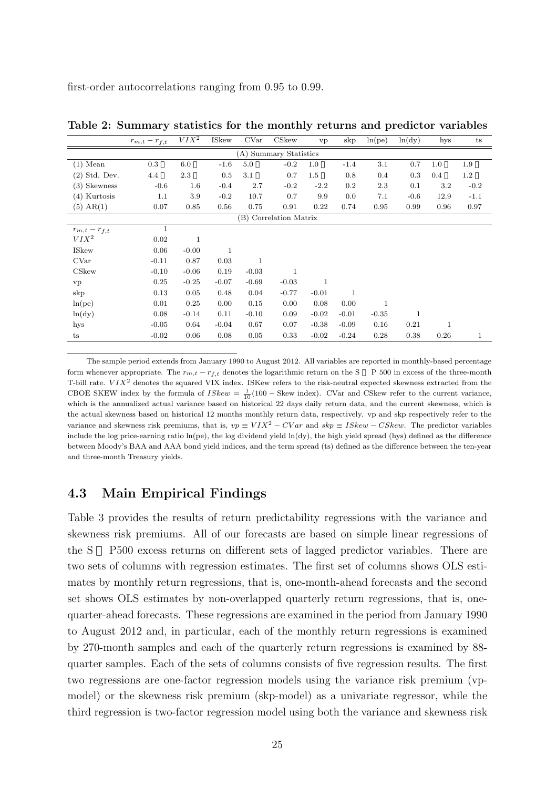first-order autocorrelations ranging from 0.95 to 0.99.

|                   | $r_{m,t}-r_{f,t}$      | $VIX^2$      | <b>ISkew</b> | CVar        | CSkew                  | vp          | skp          | ln(pe)  | ln(dy)       | hys  | t s     |
|-------------------|------------------------|--------------|--------------|-------------|------------------------|-------------|--------------|---------|--------------|------|---------|
|                   | (A) Summary Statistics |              |              |             |                        |             |              |         |              |      |         |
| $(1)$ Mean        | 0.3                    | 6.0          | $-1.6$       | 5.0         | $-0.2$                 | 1.0         | $-1.4$       | 3.1     | 0.7          | 1.0  | 1.9     |
| $(2)$ Std. Dev.   | 4.4                    | 2.3          | 0.5          | 3.1         | 0.7                    | $1.5\,$     | 0.8          | 0.4     | 0.3          | 0.4  | $1.2\,$ |
| $(3)$ Skewness    | $-0.6$                 | $1.6\,$      | $-0.4$       | 2.7         | $-0.2$                 | $-2.2$      | $0.2\,$      | 2.3     | 0.1          | 3.2  | $-0.2$  |
| $(4)$ Kurtosis    | 1.1                    | 3.9          | $-0.2$       | 10.7        | 0.7                    | 9.9         | 0.0          | 7.1     | $-0.6$       | 12.9 | $-1.1$  |
| $(5)$ AR $(1)$    | 0.07                   | 0.85         | 0.56         | 0.75        | 0.91                   | 0.22        | 0.74         | 0.95    | 0.99         | 0.96 | 0.97    |
|                   |                        |              |              |             | (B) Correlation Matrix |             |              |         |              |      |         |
| $r_{m,t}-r_{f,t}$ | $\mathbf{1}$           |              |              |             |                        |             |              |         |              |      |         |
| $VIX^2$           | 0.02                   | $\mathbf{1}$ |              |             |                        |             |              |         |              |      |         |
| <b>ISkew</b>      | 0.06                   | $-0.00$      | $\mathbf 1$  |             |                        |             |              |         |              |      |         |
| CVar              | $-0.11$                | 0.87         | 0.03         | $\mathbf 1$ |                        |             |              |         |              |      |         |
| CSkew             | $-0.10$                | $-0.06$      | 0.19         | $-0.03$     | $\mathbf 1$            |             |              |         |              |      |         |
| vp                | 0.25                   | $-0.25$      | $-0.07$      | $-0.69$     | $-0.03$                | $\mathbf 1$ |              |         |              |      |         |
| skp               | 0.13                   | 0.05         | 0.48         | 0.04        | $-0.77$                | $-0.01$     | $\mathbf{1}$ |         |              |      |         |
| ln(pe)            | 0.01                   | 0.25         | 0.00         | 0.15        | 0.00                   | 0.08        | 0.00         | 1       |              |      |         |
| ln(dy)            | 0.08                   | $-0.14$      | 0.11         | $-0.10$     | 0.09                   | $-0.02$     | $-0.01$      | $-0.35$ | $\mathbf{1}$ |      |         |
| hys               | $-0.05$                | 0.64         | $-0.04$      | 0.67        | 0.07                   | $-0.38$     | $-0.09$      | 0.16    | 0.21         |      |         |
| ts                | $-0.02$                | 0.06         | 0.08         | 0.05        | 0.33                   | $-0.02$     | $-0.24$      | 0.28    | 0.38         | 0.26 | 1       |

**Table 2: Summary statistics for the monthly returns and predictor variables**

The sample period extends from January 1990 to August 2012. All variables are reported in monthly-based percentage form whenever appropriate. The  $r_{m,t} - r_{f,t}$  denotes the logarithmic return on the S P 500 in excess of the three-month T-bill rate. *V IX*<sup>2</sup> denotes the squared VIX index. ISKew refers to the risk-neutral expected skewness extracted from the CBOE SKEW index by the formula of  $ISkew = \frac{1}{10}(100 - \text{Skew index})$ . CVar and CSkew refer to the current variance, which is the annualized actual variance based on historical 22 days daily return data, and the current skewness, which is the actual skewness based on historical 12 months monthly return data, respectively. vp and skp respectively refer to the variance and skewness risk premiums, that is,  $vp \equiv VIX^2 - CVar$  and  $skp \equiv ISkew - CSkew$ . The predictor variables include the log price-earning ratio ln(pe), the log dividend yield ln(dy), the high yield spread (hys) defined as the difference between Moody's BAA and AAA bond yield indices, and the term spread (ts) defined as the difference between the ten-year and three-month Treasury yields.

## **4.3 Main Empirical Findings**

Table 3 provides the results of return predictability regressions with the variance and skewness risk premiums. All of our forecasts are based on simple linear regressions of the S P500 excess returns on different sets of lagged predictor variables. There are two sets of columns with regression estimates. The first set of columns shows OLS estimates by monthly return regressions, that is, one-month-ahead forecasts and the second set shows OLS estimates by non-overlapped quarterly return regressions, that is, onequarter-ahead forecasts. These regressions are examined in the period from January 1990 to August 2012 and, in particular, each of the monthly return regressions is examined by 270-month samples and each of the quarterly return regressions is examined by 88 quarter samples. Each of the sets of columns consists of five regression results. The first two regressions are one-factor regression models using the variance risk premium (vpmodel) or the skewness risk premium (skp-model) as a univariate regressor, while the third regression is two-factor regression model using both the variance and skewness risk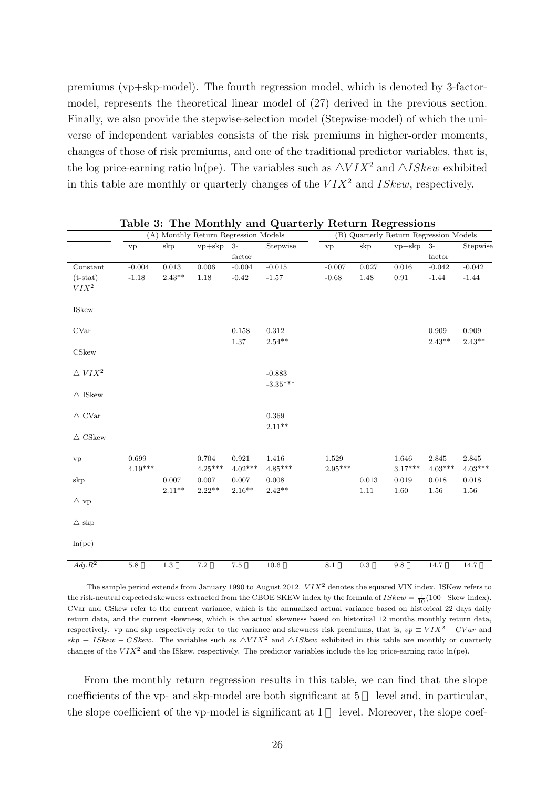premiums (vp+skp-model). The fourth regression model, which is denoted by 3-factormodel, represents the theoretical linear model of (27) derived in the previous section. Finally, we also provide the stepwise-selection model (Stepwise-model) of which the universe of independent variables consists of the risk premiums in higher-order moments, changes of those of risk premiums, and one of the traditional predictor variables, that is, the log price-earning ratio ln(pe). The variables such as  $\triangle VIX^2$  and  $\triangle ISkew$  exhibited in this table are monthly or quarterly changes of the *V IX*<sup>2</sup> and *ISkew*, respectively.

|                        | (A) Monthly Return Regression Models |             |           |           | (B) Quarterly Return Regression Models |           |           |            |           |           |
|------------------------|--------------------------------------|-------------|-----------|-----------|----------------------------------------|-----------|-----------|------------|-----------|-----------|
|                        | vp                                   | skp         | $vp+skp$  | $3-$      | Stepwise                               | vp        | skp       | $vp+skp$   | $3-$      | Stepwise  |
|                        |                                      |             |           | factor    |                                        |           |           |            | factor    |           |
| Constant               | $-0.004$                             | $\rm 0.013$ | $0.006\,$ | $-0.004$  | $-0.015$                               | $-0.007$  | 0.027     | $0.016\,$  | $-0.042$  | $-0.042$  |
| $(t-stat)$             | $-1.18$                              | $2.43**$    | 1.18      | $-0.42$   | $-1.57$                                | $-0.68$   | $1.48\,$  | $\rm 0.91$ | $-1.44$   | $-1.44$   |
| $VIX^2$                |                                      |             |           |           |                                        |           |           |            |           |           |
| <b>ISkew</b>           |                                      |             |           |           |                                        |           |           |            |           |           |
| <b>CVar</b>            |                                      |             |           | 0.158     | 0.312                                  |           |           |            | 0.909     | 0.909     |
|                        |                                      |             |           | $1.37\,$  | $2.54**$                               |           |           |            | $2.43**$  | $2.43**$  |
| CSkew                  |                                      |             |           |           |                                        |           |           |            |           |           |
| $\triangle~VIX^2$      |                                      |             |           |           | $-0.883$                               |           |           |            |           |           |
|                        |                                      |             |           |           | $-3.35***$                             |           |           |            |           |           |
| $\bigtriangleup$ ISkew |                                      |             |           |           |                                        |           |           |            |           |           |
|                        |                                      |             |           |           |                                        |           |           |            |           |           |
| $\bigtriangleup$ CVar  |                                      |             |           |           | 0.369                                  |           |           |            |           |           |
|                        |                                      |             |           |           | $2.11**$                               |           |           |            |           |           |
| $\triangle$ CSkew      |                                      |             |           |           |                                        |           |           |            |           |           |
| vp                     | 0.699                                |             | 0.704     | 0.921     | 1.416                                  | 1.529     |           | 1.646      | 2.845     | 2.845     |
|                        | $4.19***$                            |             | $4.25***$ | $4.02***$ | $4.85***$                              | $2.95***$ |           | $3.17***$  | $4.03***$ | $4.03***$ |
| $\mathrm{skip}$        |                                      | 0.007       | 0.007     | 0.007     | 0.008                                  |           | 0.013     | 0.019      | 0.018     | 0.018     |
|                        |                                      | $2.11***$   | $2.22***$ | $2.16**$  | $2.42**$                               |           | 1.11      | $1.60\,$   | 1.56      | 1.56      |
| $\triangle$ vp         |                                      |             |           |           |                                        |           |           |            |           |           |
|                        |                                      |             |           |           |                                        |           |           |            |           |           |
| $\triangle$ skp        |                                      |             |           |           |                                        |           |           |            |           |           |
|                        |                                      |             |           |           |                                        |           |           |            |           |           |
| ln(pe)                 |                                      |             |           |           |                                        |           |           |            |           |           |
| $\overline{Adj.R^2}$   | $5.8\,$                              | $1.3\,$     | $7.2\,$   | 7.5       | $10.6\,$                               | $8.1\,$   | $\rm 0.3$ | $9.8\,$    | 14.7      | 14.7      |
|                        |                                      |             |           |           |                                        |           |           |            |           |           |

**Table 3: The Monthly and Quarterly Return Regressions**

The sample period extends from January 1990 to August 2012. *V IX*<sup>2</sup> denotes the squared VIX index. ISKew refers to the risk-neutral expected skewness extracted from the CBOE SKEW index by the formula of  $ISkew = \frac{1}{10}(100 - \text{Skew index})$ . CVar and CSkew refer to the current variance, which is the annualized actual variance based on historical 22 days daily return data, and the current skewness, which is the actual skewness based on historical 12 months monthly return data, respectively. vp and skp respectively refer to the variance and skewness risk premiums, that is,  $vp \equiv VIX^2 - CVar$  and  $skp \equiv ISkew - CSkew$ . The variables such as  $\Delta VIX^2$  and  $\Delta ISkew$  exhibited in this table are monthly or quarterly changes of the  $VIX^2$  and the ISkew, respectively. The predictor variables include the log price-earning ratio  $ln(pe)$ .

From the monthly return regression results in this table, we can find that the slope coefficients of the vp- and skp-model are both significant at 5 level and, in particular, the slope coefficient of the vp-model is significant at 1 level. Moreover, the slope coef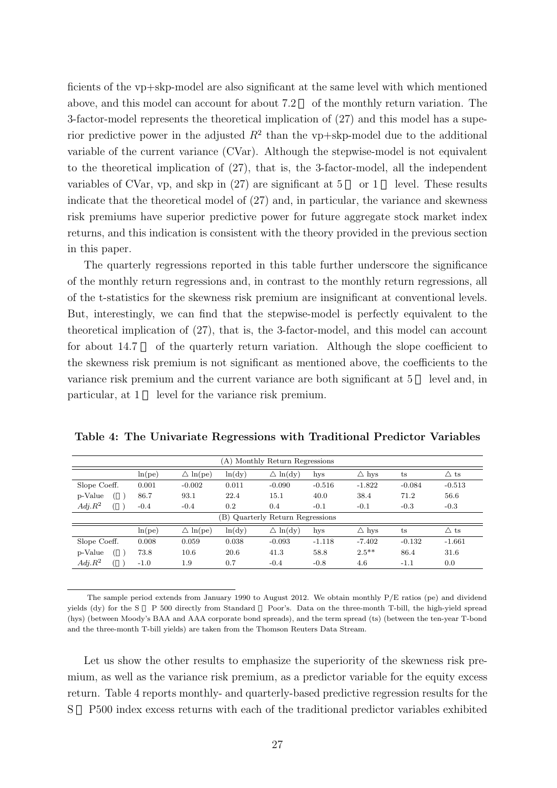ficients of the vp+skp-model are also significant at the same level with which mentioned above, and this model can account for about 7.2 of the monthly return variation. The 3-factor-model represents the theoretical implication of (27) and this model has a superior predictive power in the adjusted *R*<sup>2</sup> than the vp+skp-model due to the additional variable of the current variance (CVar). Although the stepwise-model is not equivalent to the theoretical implication of (27), that is, the 3-factor-model, all the independent variables of CVar, vp, and skp in  $(27)$  are significant at  $5$  or  $1$  level. These results indicate that the theoretical model of (27) and, in particular, the variance and skewness risk premiums have superior predictive power for future aggregate stock market index returns, and this indication is consistent with the theory provided in the previous section in this paper.

The quarterly regressions reported in this table further underscore the significance of the monthly return regressions and, in contrast to the monthly return regressions, all of the t-statistics for the skewness risk premium are insignificant at conventional levels. But, interestingly, we can find that the stepwise-model is perfectly equivalent to the theoretical implication of (27), that is, the 3-factor-model, and this model can account for about 14.7 of the quarterly return variation. Although the slope coefficient to the skewness risk premium is not significant as mentioned above, the coefficients to the variance risk premium and the current variance are both significant at 5 level and, in particular, at 1 level for the variance risk premium.

| (A) Monthly Return Regressions |        |                     |        |                                  |          |                 |             |                |
|--------------------------------|--------|---------------------|--------|----------------------------------|----------|-----------------|-------------|----------------|
|                                | ln(pe) | $\triangle \ln(pe)$ | ln(dy) | $\triangle \ln(dy)$              | hys      | $\triangle$ hys | $t_{\rm S}$ | $\triangle$ ts |
| Slope Coeff.                   | 0.001  | $-0.002$            | 0.011  | $-0.090$                         | $-0.516$ | $-1.822$        | $-0.084$    | $-0.513$       |
| p-Value                        | 86.7   | 93.1                | 22.4   | 15.1                             | 40.0     | 38.4            | 71.2        | 56.6           |
| $Adj.R^2$                      | $-0.4$ | $-0.4$              | 0.2    | 0.4                              | $-0.1$   | $-0.1$          | $-0.3$      | $-0.3$         |
|                                |        |                     |        | (B) Quarterly Return Regressions |          |                 |             |                |
|                                | ln(pe) | $\triangle \ln(pe)$ | ln(dy) | $\triangle \ln(dy)$              | hys      | $\triangle$ hys | $t_{\rm S}$ | $\triangle$ ts |
| Slope Coeff.                   | 0.008  | 0.059               | 0.038  | $-0.093$                         | $-1.118$ | $-7.402$        | $-0.132$    | $-1.661$       |
| p-Value                        | 73.8   | 10.6                | 20.6   | 41.3                             | 58.8     | $2.5***$        | 86.4        | 31.6           |
| $Adj.R^2$                      | $-1.0$ | $1.9\,$             | 0.7    | $-0.4$                           | $-0.8$   | 4.6             | $-1.1$      | 0.0            |

**Table 4: The Univariate Regressions with Traditional Predictor Variables**

The sample period extends from January 1990 to August 2012. We obtain monthly P/E ratios (pe) and dividend yields (dy) for the S P 500 directly from Standard Poor's. Data on the three-month T-bill, the high-yield spread (hys) (between Moody's BAA and AAA corporate bond spreads), and the term spread (ts) (between the ten-year T-bond and the three-month T-bill yields) are taken from the Thomson Reuters Data Stream.

Let us show the other results to emphasize the superiority of the skewness risk premium, as well as the variance risk premium, as a predictor variable for the equity excess return. Table 4 reports monthly- and quarterly-based predictive regression results for the S P500 index excess returns with each of the traditional predictor variables exhibited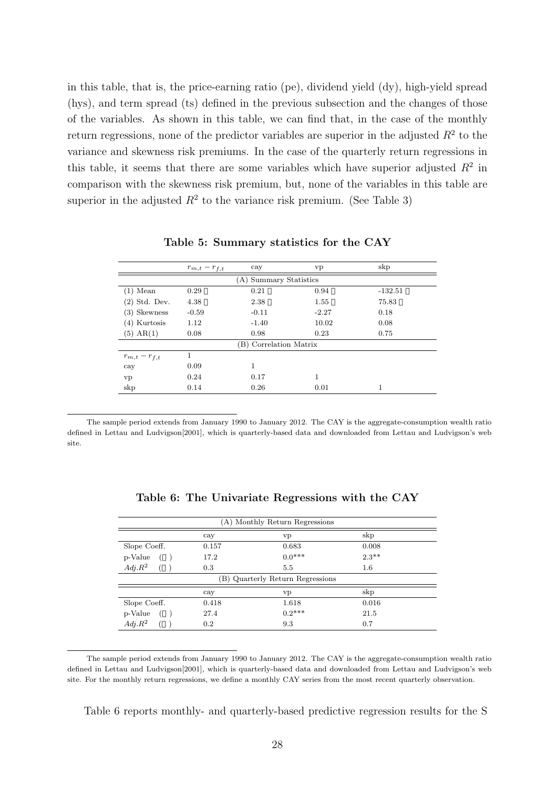in this table, that is, the price-earning ratio (pe), dividend yield (dy), high-yield spread (hys), and term spread (ts) defined in the previous subsection and the changes of those of the variables. As shown in this table, we can find that, in the case of the monthly return regressions, none of the predictor variables are superior in the adjusted  $R^2$  to the variance and skewness risk premiums. In the case of the quarterly return regressions in this table, it seems that there are some variables which have superior adjusted  $R^2$  in comparison with the skewness risk premium, but, none of the variables in this table are superior in the adjusted  $R^2$  to the variance risk premium. (See Table 3)

|                        | $r_{m,t}-r_{f,t}$ | cay                    | vp      | skp       |  |  |  |
|------------------------|-------------------|------------------------|---------|-----------|--|--|--|
|                        |                   | (A) Summary Statistics |         |           |  |  |  |
| $(1)$ Mean             | 0.29              | 0.21                   | 0.94    | $-132.51$ |  |  |  |
| $(2)$ Std. Dev.        | 4.38              | 2.38                   | 1.55    | 75.83     |  |  |  |
| (3) Skewness           | $-0.59$           | $-0.11$                | $-2.27$ | 0.18      |  |  |  |
| $(4)$ Kurtosis         | 1.12              | $-1.40$                | 10.02   | 0.08      |  |  |  |
| $(5)$ AR $(1)$         | 0.08              | 0.98                   | 0.23    | 0.75      |  |  |  |
| (B) Correlation Matrix |                   |                        |         |           |  |  |  |
| $r_{m,t} - r_{f,t}$    | 1                 |                        |         |           |  |  |  |
| cay                    | 0.09              | 1                      |         |           |  |  |  |
| vp                     | 0.24              | 0.17                   | 1       |           |  |  |  |
| skp                    | 0.14              | 0.26                   | 0.01    |           |  |  |  |

**Table 5: Summary statistics for the CAY**

The sample period extends from January 1990 to January 2012. The CAY is the aggregate-consumption wealth ratio defined in Lettau and Ludvigson[2001], which is quarterly-based data and downloaded from Lettau and Ludvigson's web site.

| (A) Monthly Return Regressions   |       |               |          |  |  |  |  |
|----------------------------------|-------|---------------|----------|--|--|--|--|
|                                  | cay   | vp            | skp      |  |  |  |  |
| Slope Coeff.                     | 0.157 | 0.683         | 0.008    |  |  |  |  |
| p-Value                          | 17.2  | $0.0***$      | $2.3***$ |  |  |  |  |
| $Adj.R^2$                        | 0.3   | $5.5^{\circ}$ | 1.6      |  |  |  |  |
| (B) Quarterly Return Regressions |       |               |          |  |  |  |  |
|                                  | cay   | vp            | skp      |  |  |  |  |
| Slope Coeff.                     | 0.418 | 1.618         | 0.016    |  |  |  |  |
| p-Value                          | 27.4  | $0.2***$      | 21.5     |  |  |  |  |
| $Adj.R^2$                        | 0.2   | 9.3           | 0.7      |  |  |  |  |

**Table 6: The Univariate Regressions with the CAY**

Table 6 reports monthly- and quarterly-based predictive regression results for the S

The sample period extends from January 1990 to January 2012. The CAY is the aggregate-consumption wealth ratio defined in Lettau and Ludvigson[2001], which is quarterly-based data and downloaded from Lettau and Ludvigson's web site. For the monthly return regressions, we define a monthly CAY series from the most recent quarterly observation.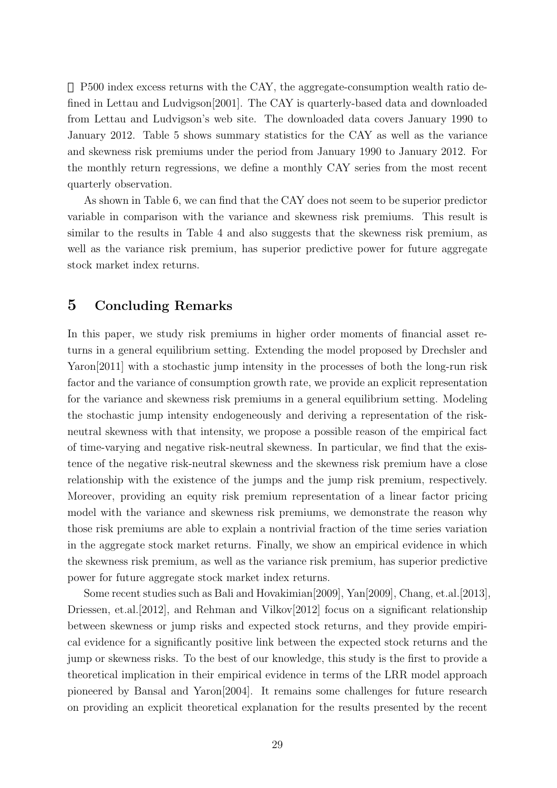P500 index excess returns with the CAY, the aggregate-consumption wealth ratio defined in Lettau and Ludvigson[2001]. The CAY is quarterly-based data and downloaded from Lettau and Ludvigson's web site. The downloaded data covers January 1990 to January 2012. Table 5 shows summary statistics for the CAY as well as the variance and skewness risk premiums under the period from January 1990 to January 2012. For the monthly return regressions, we define a monthly CAY series from the most recent quarterly observation.

As shown in Table 6, we can find that the CAY does not seem to be superior predictor variable in comparison with the variance and skewness risk premiums. This result is similar to the results in Table 4 and also suggests that the skewness risk premium, as well as the variance risk premium, has superior predictive power for future aggregate stock market index returns.

# **5 Concluding Remarks**

In this paper, we study risk premiums in higher order moments of financial asset returns in a general equilibrium setting. Extending the model proposed by Drechsler and Yaron<sup>[2011]</sup> with a stochastic jump intensity in the processes of both the long-run risk factor and the variance of consumption growth rate, we provide an explicit representation for the variance and skewness risk premiums in a general equilibrium setting. Modeling the stochastic jump intensity endogeneously and deriving a representation of the riskneutral skewness with that intensity, we propose a possible reason of the empirical fact of time-varying and negative risk-neutral skewness. In particular, we find that the existence of the negative risk-neutral skewness and the skewness risk premium have a close relationship with the existence of the jumps and the jump risk premium, respectively. Moreover, providing an equity risk premium representation of a linear factor pricing model with the variance and skewness risk premiums, we demonstrate the reason why those risk premiums are able to explain a nontrivial fraction of the time series variation in the aggregate stock market returns. Finally, we show an empirical evidence in which the skewness risk premium, as well as the variance risk premium, has superior predictive power for future aggregate stock market index returns.

Some recent studies such as Bali and Hovakimian[2009], Yan[2009], Chang, et.al.[2013], Driessen, et.al. [2012], and Rehman and Vilkov[2012] focus on a significant relationship between skewness or jump risks and expected stock returns, and they provide empirical evidence for a significantly positive link between the expected stock returns and the jump or skewness risks. To the best of our knowledge, this study is the first to provide a theoretical implication in their empirical evidence in terms of the LRR model approach pioneered by Bansal and Yaron[2004]. It remains some challenges for future research on providing an explicit theoretical explanation for the results presented by the recent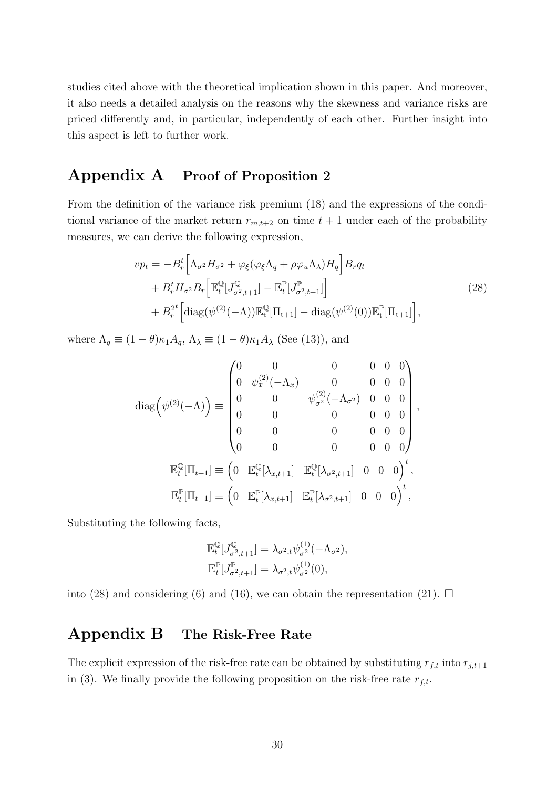studies cited above with the theoretical implication shown in this paper. And moreover, it also needs a detailed analysis on the reasons why the skewness and variance risks are priced differently and, in particular, independently of each other. Further insight into this aspect is left to further work.

# **Appendix A Proof of Proposition 2**

From the definition of the variance risk premium (18) and the expressions of the conditional variance of the market return  $r_{m,t+2}$  on time  $t+1$  under each of the probability measures, we can derive the following expression,

$$
vp_t = -B_r^t \Big[\Lambda_{\sigma^2} H_{\sigma^2} + \varphi_\xi (\varphi_\xi \Lambda_q + \rho \varphi_u \Lambda_\lambda) H_q \Big] B_r q_t + B_r^t H_{\sigma^2} B_r \Big[ \mathbb{E}_t^{\mathbb{Q}} [J_{\sigma^2, t+1}^{\mathbb{Q}}] - \mathbb{E}_t^{\mathbb{P}} [J_{\sigma^2, t+1}^{\mathbb{P}}] \Big] + B_r^{2t} \Big[ \text{diag}(\psi^{(2)}(-\Lambda)) \mathbb{E}_t^{\mathbb{Q}} [\Pi_{t+1}] - \text{diag}(\psi^{(2)}(0)) \mathbb{E}_t^{\mathbb{P}} [\Pi_{t+1}] \Big],
$$
\n(28)

where  $\Lambda_q \equiv (1 - \theta)\kappa_1 A_q$ ,  $\Lambda_{\lambda} \equiv (1 - \theta)\kappa_1 A_{\lambda}$  (See (13)), and

$$
\operatorname{diag}\left(\psi^{(2)}(-\Lambda)\right) \equiv \begin{pmatrix} 0 & 0 & 0 & 0 & 0 & 0 \\ 0 & \psi_x^{(2)}(-\Lambda_x) & 0 & 0 & 0 & 0 \\ 0 & 0 & \psi_{\sigma^2}^{(2)}(-\Lambda_{\sigma^2}) & 0 & 0 & 0 \\ 0 & 0 & 0 & 0 & 0 & 0 \\ 0 & 0 & 0 & 0 & 0 & 0 \end{pmatrix},
$$

$$
\mathbb{E}_t^{\mathbb{Q}}[\Pi_{t+1}] \equiv \begin{pmatrix} 0 & \mathbb{E}_t^{\mathbb{Q}}[\lambda_{x,t+1}] & \mathbb{E}_t^{\mathbb{Q}}[\lambda_{\sigma^2,t+1}] & 0 & 0 & 0 \end{pmatrix}^t,
$$

$$
\mathbb{E}_t^{\mathbb{P}}[\Pi_{t+1}] \equiv \begin{pmatrix} 0 & \mathbb{E}_t^{\mathbb{P}}[\lambda_{x,t+1}] & \mathbb{E}_t^{\mathbb{P}}[\lambda_{\sigma^2,t+1}] & 0 & 0 & 0 \end{pmatrix}^t,
$$

Substituting the following facts,

$$
\mathbb{E}_t^{\mathbb{Q}}[J_{\sigma^2,t+1}^{\mathbb{Q}}] = \lambda_{\sigma^2,t} \psi_{\sigma^2}^{(1)}(-\Lambda_{\sigma^2}),
$$
  

$$
\mathbb{E}_t^{\mathbb{P}}[J_{\sigma^2,t+1}^{\mathbb{P}}] = \lambda_{\sigma^2,t} \psi_{\sigma^2}^{(1)}(0),
$$

into (28) and considering (6) and (16), we can obtain the representation (21).  $\Box$ 

# **Appendix B The Risk-Free Rate**

The explicit expression of the risk-free rate can be obtained by substituting  $r_{f,t}$  into  $r_{j,t+1}$ in (3). We finally provide the following proposition on the risk-free rate  $r_{f,t}$ .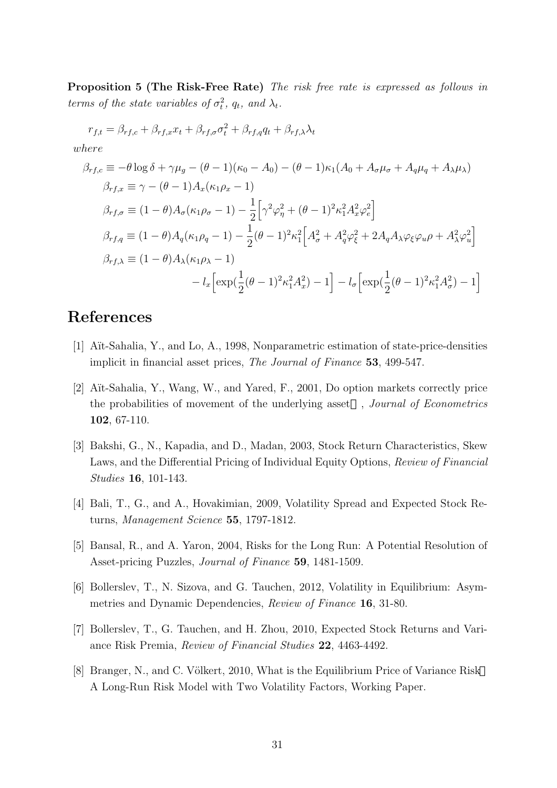**Proposition 5 (The Risk-Free Rate)** *The risk free rate is expressed as follows in terms of the state variables of*  $\sigma_t^2$ ,  $q_t$ , and  $\lambda_t$ .

$$
r_{f,t} = \beta_{rf,c} + \beta_{rf,x} x_t + \beta_{rf,\sigma} \sigma_t^2 + \beta_{rf,q} q_t + \beta_{rf,\lambda} \lambda_t
$$
  
\nwhere  
\n
$$
\beta_{rf,c} \equiv -\theta \log \delta + \gamma \mu_g - (\theta - 1)(\kappa_0 - A_0) - (\theta - 1)\kappa_1 (A_0 + A_\sigma \mu_\sigma + A_q \mu_q + A_\lambda \mu_\lambda)
$$
  
\n
$$
\beta_{rf,x} \equiv \gamma - (\theta - 1)A_x(\kappa_1 \rho_x - 1)
$$
  
\n
$$
\beta_{rf,\sigma} \equiv (1 - \theta)A_\sigma (\kappa_1 \rho_\sigma - 1) - \frac{1}{2} \Big[ \gamma^2 \varphi_\eta^2 + (\theta - 1)^2 \kappa_1^2 A_x^2 \varphi_e^2 \Big]
$$
  
\n
$$
\beta_{rf,q} \equiv (1 - \theta)A_q(\kappa_1 \rho_q - 1) - \frac{1}{2} (\theta - 1)^2 \kappa_1^2 \Big[ A_\sigma^2 + A_q^2 \varphi_\xi^2 + 2A_q A_\lambda \varphi_\xi \varphi_u \rho + A_\lambda^2 \varphi_u^2 \Big]
$$
  
\n
$$
\beta_{rf,\lambda} \equiv (1 - \theta)A_\lambda (\kappa_1 \rho_\lambda - 1)
$$
  
\n
$$
- l_x \Big[ \exp(\frac{1}{2} (\theta - 1)^2 \kappa_1^2 A_x^2) - 1 \Big] - l_\sigma \Big[ \exp(\frac{1}{2} (\theta - 1)^2 \kappa_1^2 A_\sigma^2) - 1 \Big]
$$

# **References**

- [1] A¨ıt-Sahalia, Y., and Lo, A., 1998, Nonparametric estimation of state-price-densities implicit in financial asset prices, *The Journal of Finance* **53**, 499-547.
- [2] A¨ıt-Sahalia, Y., Wang, W., and Yared, F., 2001, Do option markets correctly price the probabilities of movement of the underlying asset , *Journal of Econometrics* **102**, 67-110.
- [3] Bakshi, G., N., Kapadia, and D., Madan, 2003, Stock Return Characteristics, Skew Laws, and the Differential Pricing of Individual Equity Options, *Review of Financial Studies* **16**, 101-143.
- [4] Bali, T., G., and A., Hovakimian, 2009, Volatility Spread and Expected Stock Returns, *Management Science* **55**, 1797-1812.
- [5] Bansal, R., and A. Yaron, 2004, Risks for the Long Run: A Potential Resolution of Asset-pricing Puzzles, *Journal of Finance* **59**, 1481-1509.
- [6] Bollerslev, T., N. Sizova, and G. Tauchen, 2012, Volatility in Equilibrium: Asymmetries and Dynamic Dependencies, *Review of Finance* **16**, 31-80.
- [7] Bollerslev, T., G. Tauchen, and H. Zhou, 2010, Expected Stock Returns and Variance Risk Premia, *Review of Financial Studies* **22**, 4463-4492.
- [8] Branger, N., and C. Völkert, 2010, What is the Equilibrium Price of Variance Risk A Long-Run Risk Model with Two Volatility Factors, Working Paper.